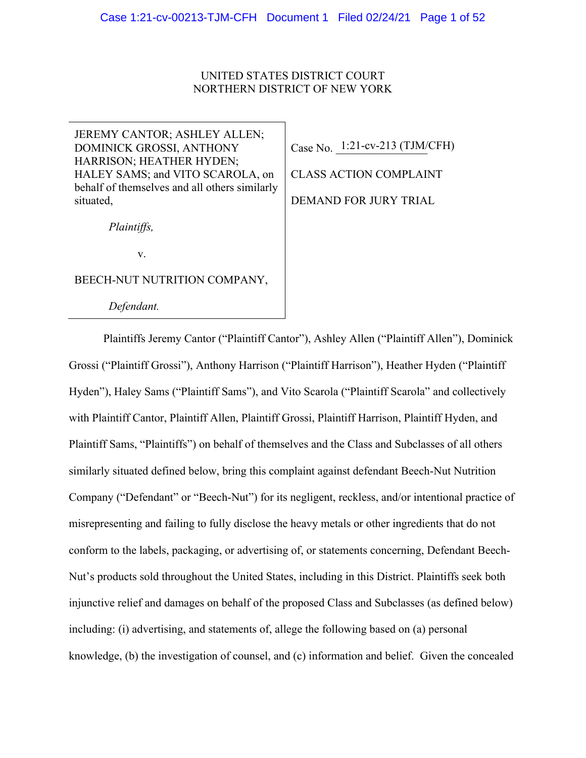#### UNITED STATES DISTRICT COURT NORTHERN DISTRICT OF NEW YORK

JEREMY CANTOR; ASHLEY ALLEN; DOMINICK GROSSI, ANTHONY HARRISON; HEATHER HYDEN; HALEY SAMS; and VITO SCAROLA, on behalf of themselves and all others similarly situated,

*Plaintiffs,* 

v.

BEECH-NUT NUTRITION COMPANY,

 *Defendant.* 

Case No. <sup>1:21-cv-213</sup> (TJM/CFH)

CLASS ACTION COMPLAINT DEMAND FOR JURY TRIAL

Plaintiffs Jeremy Cantor ("Plaintiff Cantor"), Ashley Allen ("Plaintiff Allen"), Dominick Grossi ("Plaintiff Grossi"), Anthony Harrison ("Plaintiff Harrison"), Heather Hyden ("Plaintiff Hyden"), Haley Sams ("Plaintiff Sams"), and Vito Scarola ("Plaintiff Scarola" and collectively with Plaintiff Cantor, Plaintiff Allen, Plaintiff Grossi, Plaintiff Harrison, Plaintiff Hyden, and Plaintiff Sams, "Plaintiffs") on behalf of themselves and the Class and Subclasses of all others similarly situated defined below, bring this complaint against defendant Beech-Nut Nutrition Company ("Defendant" or "Beech-Nut") for its negligent, reckless, and/or intentional practice of misrepresenting and failing to fully disclose the heavy metals or other ingredients that do not conform to the labels, packaging, or advertising of, or statements concerning, Defendant Beech-Nut's products sold throughout the United States, including in this District. Plaintiffs seek both injunctive relief and damages on behalf of the proposed Class and Subclasses (as defined below) including: (i) advertising, and statements of, allege the following based on (a) personal knowledge, (b) the investigation of counsel, and (c) information and belief. Given the concealed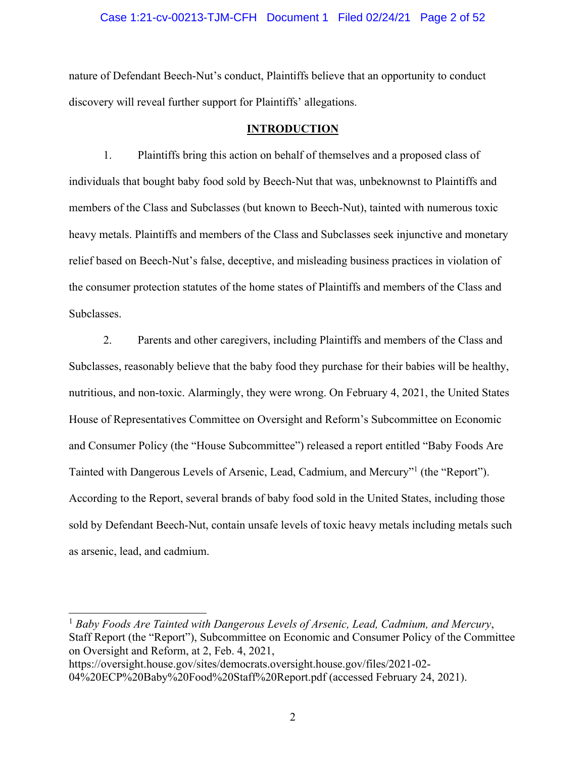#### Case 1:21-cv-00213-TJM-CFH Document 1 Filed 02/24/21 Page 2 of 52

nature of Defendant Beech-Nut's conduct, Plaintiffs believe that an opportunity to conduct discovery will reveal further support for Plaintiffs' allegations.

#### **INTRODUCTION**

1. Plaintiffs bring this action on behalf of themselves and a proposed class of individuals that bought baby food sold by Beech-Nut that was, unbeknownst to Plaintiffs and members of the Class and Subclasses (but known to Beech-Nut), tainted with numerous toxic heavy metals. Plaintiffs and members of the Class and Subclasses seek injunctive and monetary relief based on Beech-Nut's false, deceptive, and misleading business practices in violation of the consumer protection statutes of the home states of Plaintiffs and members of the Class and Subclasses.

2. Parents and other caregivers, including Plaintiffs and members of the Class and Subclasses, reasonably believe that the baby food they purchase for their babies will be healthy, nutritious, and non-toxic. Alarmingly, they were wrong. On February 4, 2021, the United States House of Representatives Committee on Oversight and Reform's Subcommittee on Economic and Consumer Policy (the "House Subcommittee") released a report entitled "Baby Foods Are Tainted with Dangerous Levels of Arsenic, Lead, Cadmium, and Mercury"<sup>1</sup> (the "Report"). According to the Report, several brands of baby food sold in the United States, including those sold by Defendant Beech-Nut, contain unsafe levels of toxic heavy metals including metals such as arsenic, lead, and cadmium.

<sup>1</sup> *Baby Foods Are Tainted with Dangerous Levels of Arsenic, Lead, Cadmium, and Mercury*, Staff Report (the "Report"), Subcommittee on Economic and Consumer Policy of the Committee on Oversight and Reform, at 2, Feb. 4, 2021, https://oversight.house.gov/sites/democrats.oversight.house.gov/files/2021-02-

<sup>04%20</sup>ECP%20Baby%20Food%20Staff%20Report.pdf (accessed February 24, 2021).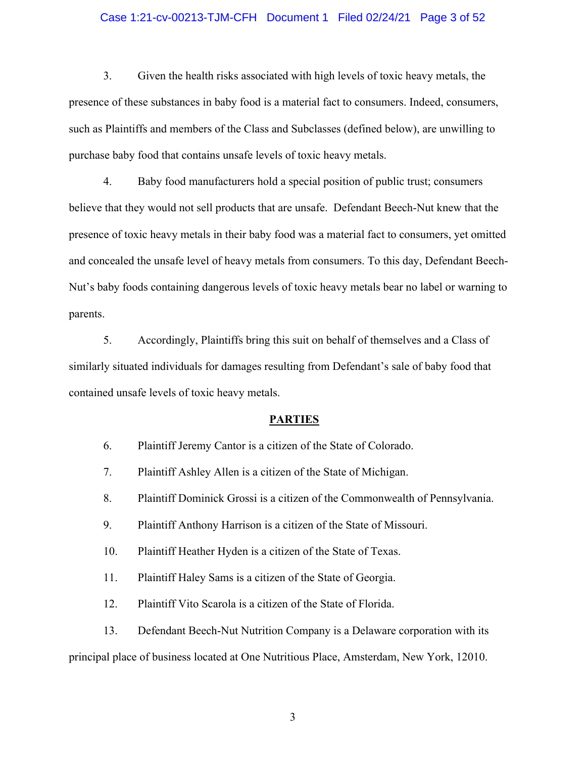#### Case 1:21-cv-00213-TJM-CFH Document 1 Filed 02/24/21 Page 3 of 52

3. Given the health risks associated with high levels of toxic heavy metals, the presence of these substances in baby food is a material fact to consumers. Indeed, consumers, such as Plaintiffs and members of the Class and Subclasses (defined below), are unwilling to purchase baby food that contains unsafe levels of toxic heavy metals.

4. Baby food manufacturers hold a special position of public trust; consumers believe that they would not sell products that are unsafe. Defendant Beech-Nut knew that the presence of toxic heavy metals in their baby food was a material fact to consumers, yet omitted and concealed the unsafe level of heavy metals from consumers. To this day, Defendant Beech-Nut's baby foods containing dangerous levels of toxic heavy metals bear no label or warning to parents.

5. Accordingly, Plaintiffs bring this suit on behalf of themselves and a Class of similarly situated individuals for damages resulting from Defendant's sale of baby food that contained unsafe levels of toxic heavy metals.

#### **PARTIES**

- 6. Plaintiff Jeremy Cantor is a citizen of the State of Colorado.
- 7. Plaintiff Ashley Allen is a citizen of the State of Michigan.
- 8. Plaintiff Dominick Grossi is a citizen of the Commonwealth of Pennsylvania.
- 9. Plaintiff Anthony Harrison is a citizen of the State of Missouri.
- 10. Plaintiff Heather Hyden is a citizen of the State of Texas.
- 11. Plaintiff Haley Sams is a citizen of the State of Georgia.
- 12. Plaintiff Vito Scarola is a citizen of the State of Florida.
- 13. Defendant Beech-Nut Nutrition Company is a Delaware corporation with its

principal place of business located at One Nutritious Place, Amsterdam, New York, 12010.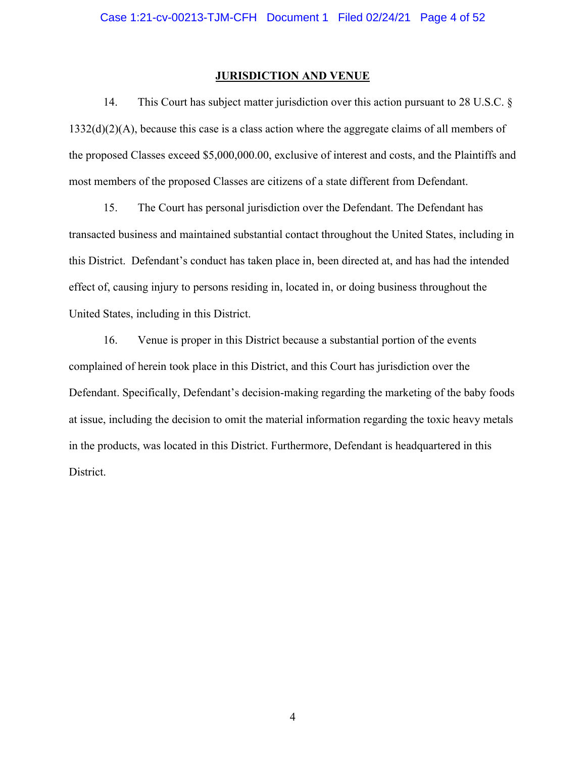#### **JURISDICTION AND VENUE**

14. This Court has subject matter jurisdiction over this action pursuant to 28 U.S.C. § 1332(d)(2)(A), because this case is a class action where the aggregate claims of all members of the proposed Classes exceed \$5,000,000.00, exclusive of interest and costs, and the Plaintiffs and most members of the proposed Classes are citizens of a state different from Defendant.

15. The Court has personal jurisdiction over the Defendant. The Defendant has transacted business and maintained substantial contact throughout the United States, including in this District. Defendant's conduct has taken place in, been directed at, and has had the intended effect of, causing injury to persons residing in, located in, or doing business throughout the United States, including in this District.

16. Venue is proper in this District because a substantial portion of the events complained of herein took place in this District, and this Court has jurisdiction over the Defendant. Specifically, Defendant's decision-making regarding the marketing of the baby foods at issue, including the decision to omit the material information regarding the toxic heavy metals in the products, was located in this District. Furthermore, Defendant is headquartered in this District.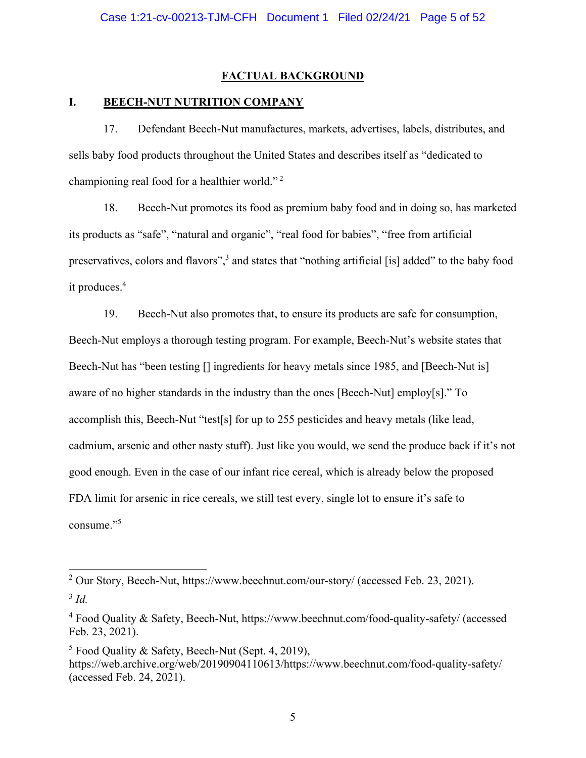#### **FACTUAL BACKGROUND**

#### **I. BEECH-NUT NUTRITION COMPANY**

17. Defendant Beech-Nut manufactures, markets, advertises, labels, distributes, and sells baby food products throughout the United States and describes itself as "dedicated to championing real food for a healthier world."<sup>2</sup>

18. Beech-Nut promotes its food as premium baby food and in doing so, has marketed its products as "safe", "natural and organic", "real food for babies", "free from artificial preservatives, colors and flavors",<sup>3</sup> and states that "nothing artificial [is] added" to the baby food it produces.4

19. Beech-Nut also promotes that, to ensure its products are safe for consumption, Beech-Nut employs a thorough testing program. For example, Beech-Nut's website states that Beech-Nut has "been testing [] ingredients for heavy metals since 1985, and [Beech-Nut is] aware of no higher standards in the industry than the ones [Beech-Nut] employ[s]." To accomplish this, Beech-Nut "test[s] for up to 255 pesticides and heavy metals (like lead, cadmium, arsenic and other nasty stuff). Just like you would, we send the produce back if it's not good enough. Even in the case of our infant rice cereal, which is already below the proposed FDA limit for arsenic in rice cereals, we still test every, single lot to ensure it's safe to consume."5

<sup>5</sup> Food Quality & Safety, Beech-Nut (Sept. 4, 2019), https://web.archive.org/web/20190904110613/https://www.beechnut.com/food-quality-safety/ (accessed Feb. 24, 2021).

<sup>&</sup>lt;sup>2</sup> Our Story, Beech-Nut, https://www.beechnut.com/our-story/ (accessed Feb. 23, 2021). <sup>3</sup> *Id.*

<sup>&</sup>lt;sup>4</sup> Food Quality & Safety, Beech-Nut, https://www.beechnut.com/food-quality-safety/ (accessed Feb. 23, 2021).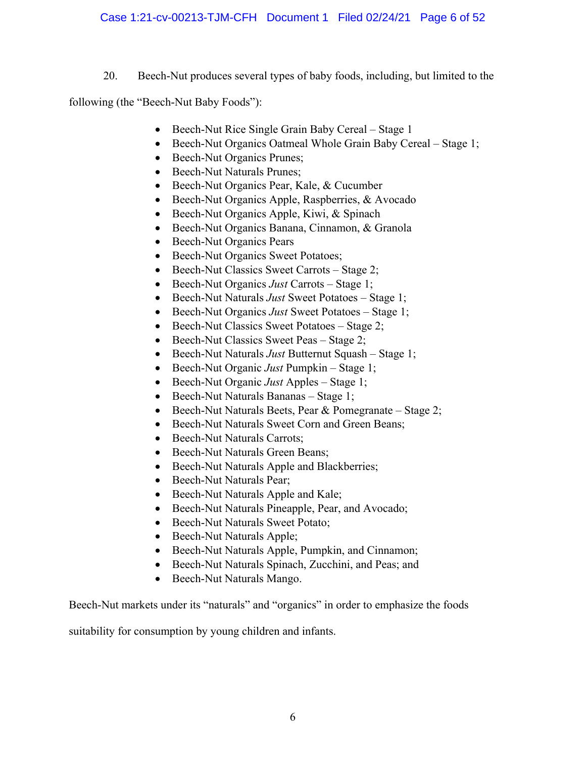#### Case 1:21-cv-00213-TJM-CFH Document 1 Filed 02/24/21 Page 6 of 52

20. Beech-Nut produces several types of baby foods, including, but limited to the

following (the "Beech-Nut Baby Foods"):

- Beech-Nut Rice Single Grain Baby Cereal Stage 1
- Beech-Nut Organics Oatmeal Whole Grain Baby Cereal Stage 1;
- Beech-Nut Organics Prunes;
- Beech-Nut Naturals Prunes;
- Beech-Nut Organics Pear, Kale, & Cucumber
- Beech-Nut Organics Apple, Raspberries, & Avocado
- Beech-Nut Organics Apple, Kiwi, & Spinach
- Beech-Nut Organics Banana, Cinnamon, & Granola
- Beech-Nut Organics Pears
- Beech-Nut Organics Sweet Potatoes;
- Beech-Nut Classics Sweet Carrots Stage 2;
- Beech-Nut Organics *Just* Carrots Stage 1;
- Beech-Nut Naturals *Just* Sweet Potatoes Stage 1;
- Beech-Nut Organics *Just* Sweet Potatoes Stage 1;
- Beech-Nut Classics Sweet Potatoes Stage 2;
- Beech-Nut Classics Sweet Peas Stage 2;
- Beech-Nut Naturals *Just* Butternut Squash Stage 1;
- Beech-Nut Organic *Just* Pumpkin Stage 1;
- Beech-Nut Organic *Just* Apples Stage 1;
- Beech-Nut Naturals Bananas Stage 1;
- Beech-Nut Naturals Beets, Pear & Pomegranate Stage 2;
- Beech-Nut Naturals Sweet Corn and Green Beans;
- Beech-Nut Naturals Carrots;
- Beech-Nut Naturals Green Beans;
- Beech-Nut Naturals Apple and Blackberries;
- Beech-Nut Naturals Pear;
- Beech-Nut Naturals Apple and Kale;
- Beech-Nut Naturals Pineapple, Pear, and Avocado;
- Beech-Nut Naturals Sweet Potato:
- Beech-Nut Naturals Apple;
- Beech-Nut Naturals Apple, Pumpkin, and Cinnamon;
- Beech-Nut Naturals Spinach, Zucchini, and Peas; and
- Beech-Nut Naturals Mango.

Beech-Nut markets under its "naturals" and "organics" in order to emphasize the foods

suitability for consumption by young children and infants.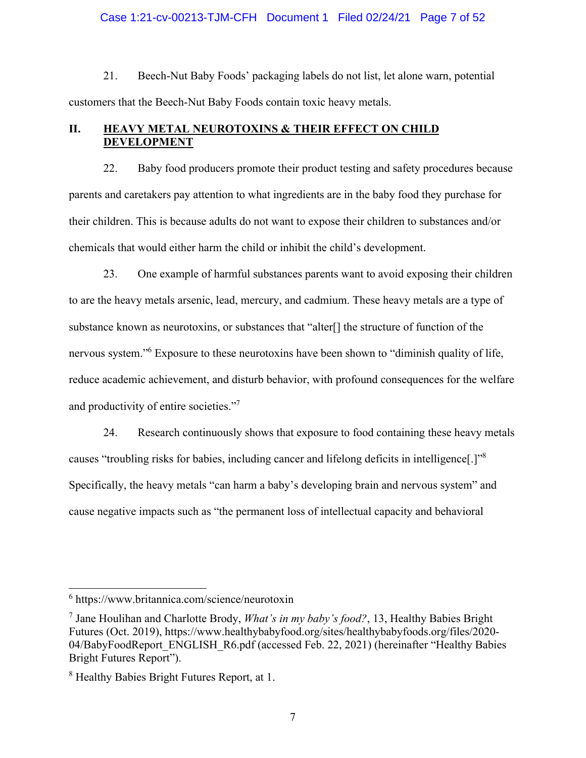#### Case 1:21-cv-00213-TJM-CFH Document 1 Filed 02/24/21 Page 7 of 52

21. Beech-Nut Baby Foods' packaging labels do not list, let alone warn, potential customers that the Beech-Nut Baby Foods contain toxic heavy metals.

#### **II. HEAVY METAL NEUROTOXINS & THEIR EFFECT ON CHILD DEVELOPMENT**

22. Baby food producers promote their product testing and safety procedures because parents and caretakers pay attention to what ingredients are in the baby food they purchase for their children. This is because adults do not want to expose their children to substances and/or chemicals that would either harm the child or inhibit the child's development.

23. One example of harmful substances parents want to avoid exposing their children to are the heavy metals arsenic, lead, mercury, and cadmium. These heavy metals are a type of substance known as neurotoxins, or substances that "alter[] the structure of function of the nervous system."<sup>6</sup> Exposure to these neurotoxins have been shown to "diminish quality of life, reduce academic achievement, and disturb behavior, with profound consequences for the welfare and productivity of entire societies."<sup>7</sup>

24. Research continuously shows that exposure to food containing these heavy metals causes "troubling risks for babies, including cancer and lifelong deficits in intelligence[.]"8 Specifically, the heavy metals "can harm a baby's developing brain and nervous system" and cause negative impacts such as "the permanent loss of intellectual capacity and behavioral

<sup>6</sup> https://www.britannica.com/science/neurotoxin

<sup>7</sup> Jane Houlihan and Charlotte Brody, *What's in my baby's food?*, 13, Healthy Babies Bright Futures (Oct. 2019), https://www.healthybabyfood.org/sites/healthybabyfoods.org/files/2020- 04/BabyFoodReport\_ENGLISH\_R6.pdf (accessed Feb. 22, 2021) (hereinafter "Healthy Babies Bright Futures Report").

<sup>&</sup>lt;sup>8</sup> Healthy Babies Bright Futures Report, at 1.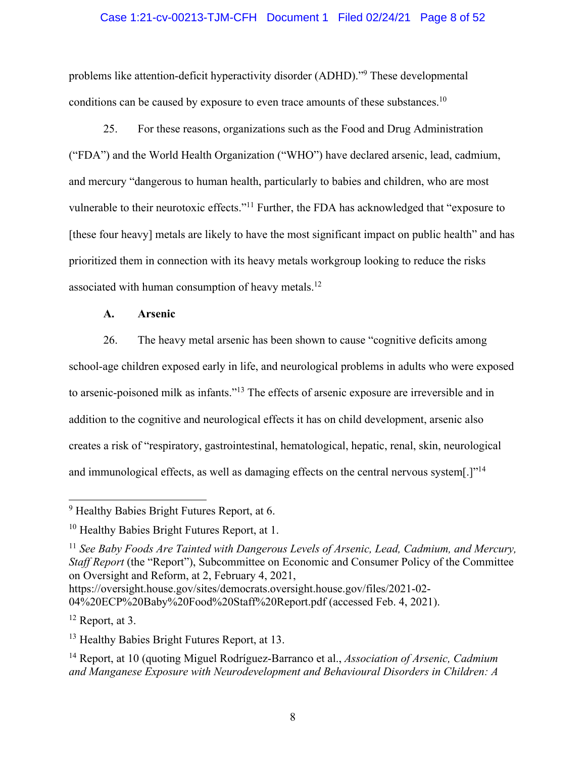#### Case 1:21-cv-00213-TJM-CFH Document 1 Filed 02/24/21 Page 8 of 52

problems like attention-deficit hyperactivity disorder (ADHD)."<sup>9</sup> These developmental conditions can be caused by exposure to even trace amounts of these substances.<sup>10</sup>

25. For these reasons, organizations such as the Food and Drug Administration ("FDA") and the World Health Organization ("WHO") have declared arsenic, lead, cadmium, and mercury "dangerous to human health, particularly to babies and children, who are most vulnerable to their neurotoxic effects."11 Further, the FDA has acknowledged that "exposure to [these four heavy] metals are likely to have the most significant impact on public health" and has prioritized them in connection with its heavy metals workgroup looking to reduce the risks associated with human consumption of heavy metals.<sup>12</sup>

#### **A. Arsenic**

26. The heavy metal arsenic has been shown to cause "cognitive deficits among school-age children exposed early in life, and neurological problems in adults who were exposed to arsenic-poisoned milk as infants."13 The effects of arsenic exposure are irreversible and in addition to the cognitive and neurological effects it has on child development, arsenic also creates a risk of "respiratory, gastrointestinal, hematological, hepatic, renal, skin, neurological and immunological effects, as well as damaging effects on the central nervous system[.]"<sup>14</sup>

 $12$  Report, at 3.

<sup>&</sup>lt;sup>9</sup> Healthy Babies Bright Futures Report, at 6.

<sup>&</sup>lt;sup>10</sup> Healthy Babies Bright Futures Report, at 1.

<sup>&</sup>lt;sup>11</sup> See Baby Foods Are Tainted with Dangerous Levels of Arsenic, Lead, Cadmium, and Mercury, *Staff Report* (the "Report"), Subcommittee on Economic and Consumer Policy of the Committee on Oversight and Reform, at 2, February 4, 2021,

https://oversight.house.gov/sites/democrats.oversight.house.gov/files/2021-02- 04%20ECP%20Baby%20Food%20Staff%20Report.pdf (accessed Feb. 4, 2021).

<sup>&</sup>lt;sup>13</sup> Healthy Babies Bright Futures Report, at 13.

<sup>14</sup> Report, at 10 (quoting Miguel Rodríguez-Barranco et al., *Association of Arsenic, Cadmium and Manganese Exposure with Neurodevelopment and Behavioural Disorders in Children: A*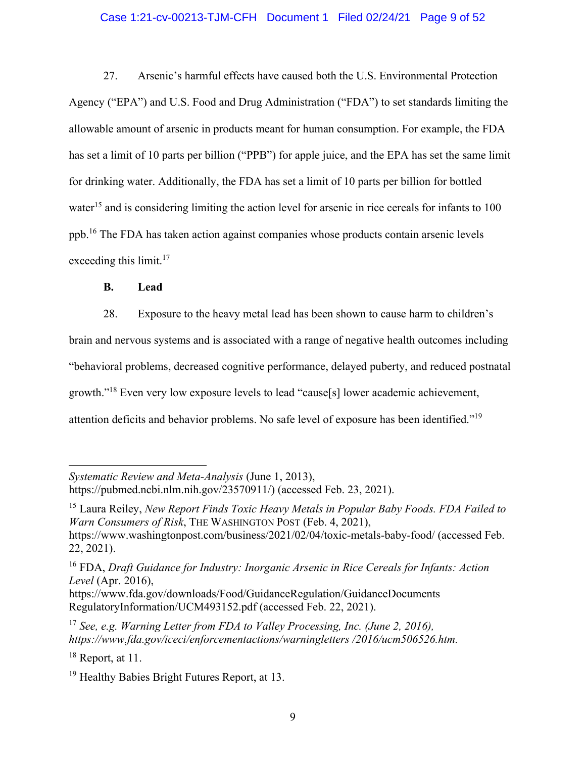#### Case 1:21-cv-00213-TJM-CFH Document 1 Filed 02/24/21 Page 9 of 52

27. Arsenic's harmful effects have caused both the U.S. Environmental Protection Agency ("EPA") and U.S. Food and Drug Administration ("FDA") to set standards limiting the allowable amount of arsenic in products meant for human consumption. For example, the FDA has set a limit of 10 parts per billion ("PPB") for apple juice, and the EPA has set the same limit for drinking water. Additionally, the FDA has set a limit of 10 parts per billion for bottled water<sup>15</sup> and is considering limiting the action level for arsenic in rice cereals for infants to 100 ppb.16 The FDA has taken action against companies whose products contain arsenic levels exceeding this limit. $17$ 

#### **B. Lead**

28. Exposure to the heavy metal lead has been shown to cause harm to children's brain and nervous systems and is associated with a range of negative health outcomes including "behavioral problems, decreased cognitive performance, delayed puberty, and reduced postnatal growth."18 Even very low exposure levels to lead "cause[s] lower academic achievement, attention deficits and behavior problems. No safe level of exposure has been identified."19

15 Laura Reiley, *New Report Finds Toxic Heavy Metals in Popular Baby Foods. FDA Failed to Warn Consumers of Risk*, THE WASHINGTON POST (Feb. 4, 2021), https://www.washingtonpost.com/business/2021/02/04/toxic-metals-baby-food/ (accessed Feb. 22, 2021).

*Systematic Review and Meta-Analysis* (June 1, 2013), https://pubmed.ncbi.nlm.nih.gov/23570911/) (accessed Feb. 23, 2021).

<sup>16</sup> FDA, *Draft Guidance for Industry: Inorganic Arsenic in Rice Cereals for Infants: Action Level* (Apr. 2016),

https://www.fda.gov/downloads/Food/GuidanceRegulation/GuidanceDocuments RegulatoryInformation/UCM493152.pdf (accessed Feb. 22, 2021).

<sup>17</sup> *See, e.g. Warning Letter from FDA to Valley Processing, Inc. (June 2, 2016), https://www.fda.gov/iceci/enforcementactions/warningletters /2016/ucm506526.htm.*

 $18$  Report, at 11.

<sup>&</sup>lt;sup>19</sup> Healthy Babies Bright Futures Report, at 13.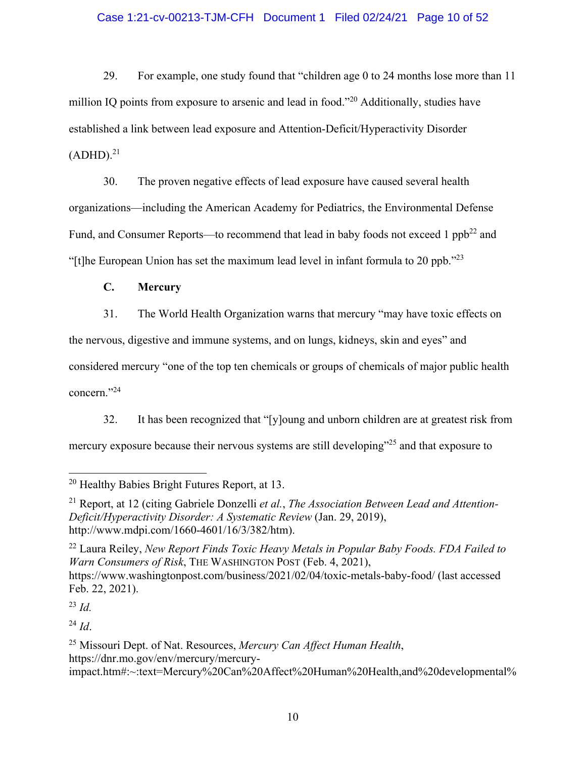#### Case 1:21-cv-00213-TJM-CFH Document 1 Filed 02/24/21 Page 10 of 52

29. For example, one study found that "children age 0 to 24 months lose more than 11 million IQ points from exposure to arsenic and lead in food."<sup>20</sup> Additionally, studies have established a link between lead exposure and Attention-Deficit/Hyperactivity Disorder  $(ADHD).<sup>21</sup>$ 

30. The proven negative effects of lead exposure have caused several health organizations—including the American Academy for Pediatrics, the Environmental Defense Fund, and Consumer Reports—to recommend that lead in baby foods not exceed 1  $ppb^{22}$  and "[t]he European Union has set the maximum lead level in infant formula to 20 ppb. $123$ 

**C. Mercury** 

31. The World Health Organization warns that mercury "may have toxic effects on

the nervous, digestive and immune systems, and on lungs, kidneys, skin and eyes" and

considered mercury "one of the top ten chemicals or groups of chemicals of major public health concern."24

32. It has been recognized that "[y]oung and unborn children are at greatest risk from mercury exposure because their nervous systems are still developing"<sup>25</sup> and that exposure to

22 Laura Reiley, *New Report Finds Toxic Heavy Metals in Popular Baby Foods. FDA Failed to Warn Consumers of Risk*, THE WASHINGTON POST (Feb. 4, 2021), https://www.washingtonpost.com/business/2021/02/04/toxic-metals-baby-food/ (last accessed Feb. 22, 2021).

<sup>23</sup> *Id.*

 $^{24}$  *Id.* 

<sup>20</sup> Healthy Babies Bright Futures Report, at 13.

<sup>21</sup> Report, at 12 (citing Gabriele Donzelli *et al.*, *The Association Between Lead and Attention-Deficit/Hyperactivity Disorder: A Systematic Review* (Jan. 29, 2019), http://www.mdpi.com/1660-4601/16/3/382/htm).

<sup>25</sup> Missouri Dept. of Nat. Resources, *Mercury Can Affect Human Health*, https://dnr.mo.gov/env/mercury/mercuryimpact.htm#:~:text=Mercury%20Can%20Affect%20Human%20Health,and%20developmental%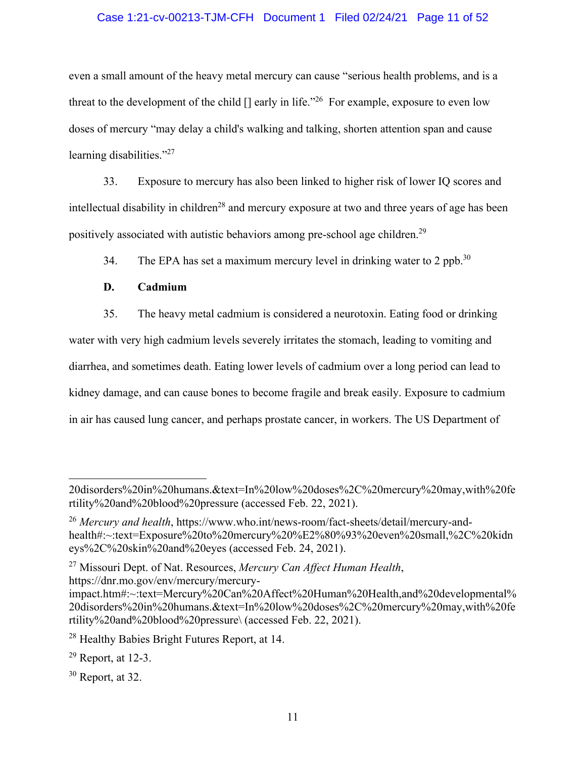#### Case 1:21-cv-00213-TJM-CFH Document 1 Filed 02/24/21 Page 11 of 52

even a small amount of the heavy metal mercury can cause "serious health problems, and is a threat to the development of the child  $\left[\right]$  early in life."<sup>26</sup> For example, exposure to even low doses of mercury "may delay a child's walking and talking, shorten attention span and cause learning disabilities."<sup>27</sup>

33. Exposure to mercury has also been linked to higher risk of lower IQ scores and intellectual disability in children<sup>28</sup> and mercury exposure at two and three years of age has been positively associated with autistic behaviors among pre-school age children.29

34. The EPA has set a maximum mercury level in drinking water to 2 ppb.<sup>30</sup>

#### **D. Cadmium**

35. The heavy metal cadmium is considered a neurotoxin. Eating food or drinking water with very high cadmium levels severely irritates the stomach, leading to vomiting and diarrhea, and sometimes death. Eating lower levels of cadmium over a long period can lead to kidney damage, and can cause bones to become fragile and break easily. Exposure to cadmium in air has caused lung cancer, and perhaps prostate cancer, in workers. The US Department of

27 Missouri Dept. of Nat. Resources, *Mercury Can Affect Human Health*, https://dnr.mo.gov/env/mercury/mercury-

<sup>20</sup>disorders%20in%20humans.&text=In%20low%20doses%2C%20mercury%20may,with%20fe rtility%20and%20blood%20pressure (accessed Feb. 22, 2021).

<sup>26</sup> *Mercury and health*, https://www.who.int/news-room/fact-sheets/detail/mercury-andhealth#:~:text=Exposure%20to%20mercury%20%E2%80%93%20even%20small,%2C%20kidn eys%2C%20skin%20and%20eyes (accessed Feb. 24, 2021).

impact.htm#:~:text=Mercury%20Can%20Affect%20Human%20Health,and%20developmental% 20disorders%20in%20humans.&text=In%20low%20doses%2C%20mercury%20may,with%20fe rtility%20and%20blood%20pressure\ (accessed Feb. 22, 2021).

<sup>&</sup>lt;sup>28</sup> Healthy Babies Bright Futures Report, at 14.

 $29$  Report, at 12-3.

 $30$  Report, at 32.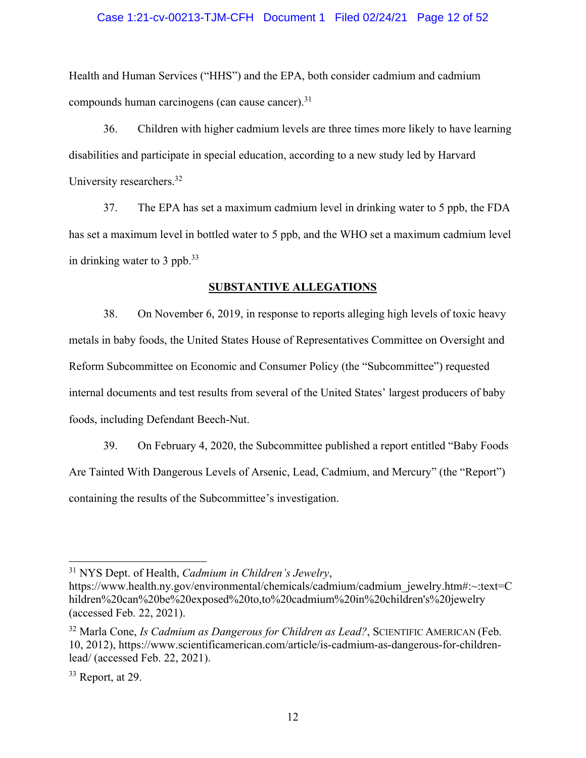#### Case 1:21-cv-00213-TJM-CFH Document 1 Filed 02/24/21 Page 12 of 52

Health and Human Services ("HHS") and the EPA, both consider cadmium and cadmium compounds human carcinogens (can cause cancer).<sup>31</sup>

36. Children with higher cadmium levels are three times more likely to have learning disabilities and participate in special education, according to a new study led by Harvard University researchers.<sup>32</sup>

37. The EPA has set a maximum cadmium level in drinking water to 5 ppb, the FDA has set a maximum level in bottled water to 5 ppb, and the WHO set a maximum cadmium level in drinking water to 3 ppb. $33$ 

#### **SUBSTANTIVE ALLEGATIONS**

38. On November 6, 2019, in response to reports alleging high levels of toxic heavy metals in baby foods, the United States House of Representatives Committee on Oversight and Reform Subcommittee on Economic and Consumer Policy (the "Subcommittee") requested internal documents and test results from several of the United States' largest producers of baby foods, including Defendant Beech-Nut.

39. On February 4, 2020, the Subcommittee published a report entitled "Baby Foods Are Tainted With Dangerous Levels of Arsenic, Lead, Cadmium, and Mercury" (the "Report") containing the results of the Subcommittee's investigation.

<sup>31</sup> NYS Dept. of Health, *Cadmium in Children's Jewelry*,

https://www.health.ny.gov/environmental/chemicals/cadmium/cadmium\_jewelry.htm#:~:text=C hildren%20can%20be%20exposed%20to,to%20cadmium%20in%20children's%20jewelry (accessed Feb. 22, 2021).

<sup>&</sup>lt;sup>32</sup> Marla Cone, *Is Cadmium as Dangerous for Children as Lead?*, SCIENTIFIC AMERICAN (Feb. 10, 2012), https://www.scientificamerican.com/article/is-cadmium-as-dangerous-for-childrenlead/ (accessed Feb. 22, 2021).

 $33$  Report, at 29.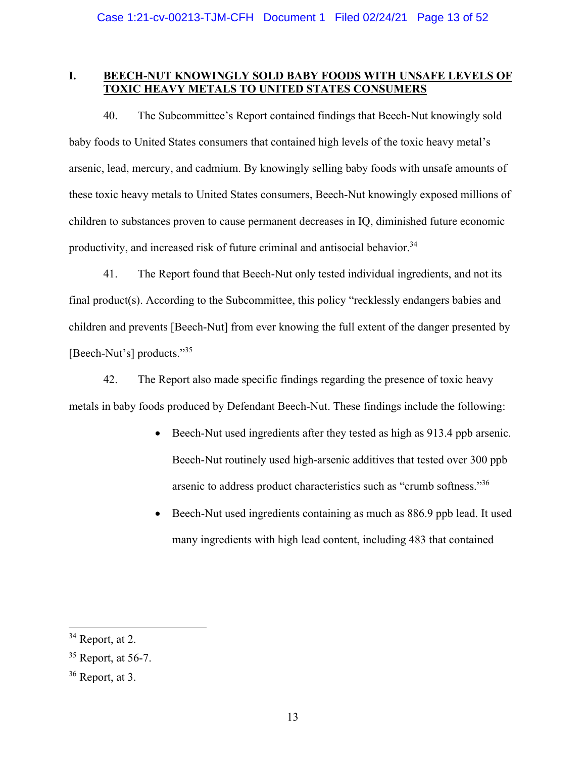#### **I. BEECH-NUT KNOWINGLY SOLD BABY FOODS WITH UNSAFE LEVELS OF TOXIC HEAVY METALS TO UNITED STATES CONSUMERS**

40. The Subcommittee's Report contained findings that Beech-Nut knowingly sold baby foods to United States consumers that contained high levels of the toxic heavy metal's arsenic, lead, mercury, and cadmium. By knowingly selling baby foods with unsafe amounts of these toxic heavy metals to United States consumers, Beech-Nut knowingly exposed millions of children to substances proven to cause permanent decreases in IQ, diminished future economic productivity, and increased risk of future criminal and antisocial behavior.<sup>34</sup>

41. The Report found that Beech-Nut only tested individual ingredients, and not its final product(s). According to the Subcommittee, this policy "recklessly endangers babies and children and prevents [Beech-Nut] from ever knowing the full extent of the danger presented by [Beech-Nut's] products."<sup>35</sup>

42. The Report also made specific findings regarding the presence of toxic heavy metals in baby foods produced by Defendant Beech-Nut. These findings include the following:

- Beech-Nut used ingredients after they tested as high as 913.4 ppb arsenic. Beech-Nut routinely used high-arsenic additives that tested over 300 ppb arsenic to address product characteristics such as "crumb softness."36
- Beech-Nut used ingredients containing as much as 886.9 ppb lead. It used many ingredients with high lead content, including 483 that contained

<sup>&</sup>lt;sup>34</sup> Report, at 2.

 $35$  Report, at 56-7.

 $36$  Report, at 3.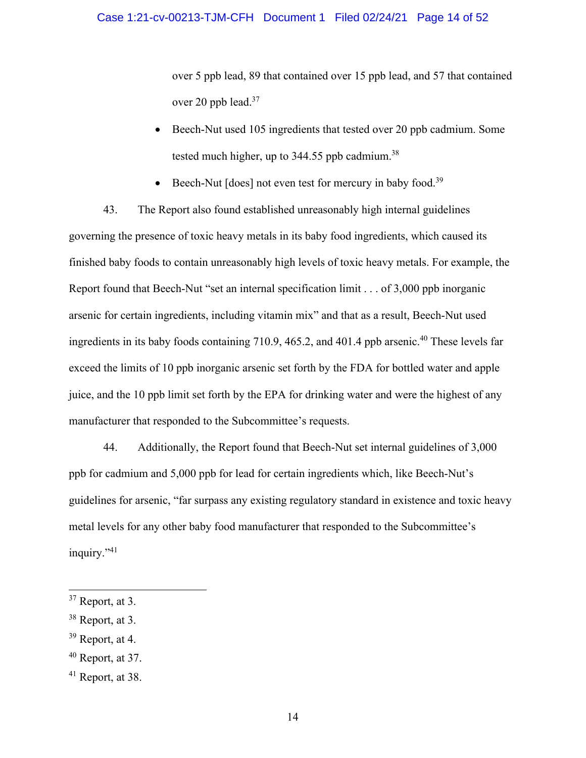over 5 ppb lead, 89 that contained over 15 ppb lead, and 57 that contained over 20 ppb lead.<sup>37</sup>

- Beech-Nut used 105 ingredients that tested over 20 ppb cadmium. Some tested much higher, up to  $344.55$  ppb cadmium.<sup>38</sup>
- Beech-Nut  $[does]$  not even test for mercury in baby food.<sup>39</sup>

43. The Report also found established unreasonably high internal guidelines governing the presence of toxic heavy metals in its baby food ingredients, which caused its finished baby foods to contain unreasonably high levels of toxic heavy metals. For example, the Report found that Beech-Nut "set an internal specification limit . . . of 3,000 ppb inorganic arsenic for certain ingredients, including vitamin mix" and that as a result, Beech-Nut used ingredients in its baby foods containing 710.9, 465.2, and 401.4 ppb arsenic.<sup>40</sup> These levels far exceed the limits of 10 ppb inorganic arsenic set forth by the FDA for bottled water and apple juice, and the 10 ppb limit set forth by the EPA for drinking water and were the highest of any manufacturer that responded to the Subcommittee's requests.

44. Additionally, the Report found that Beech-Nut set internal guidelines of 3,000 ppb for cadmium and 5,000 ppb for lead for certain ingredients which, like Beech-Nut's guidelines for arsenic, "far surpass any existing regulatory standard in existence and toxic heavy metal levels for any other baby food manufacturer that responded to the Subcommittee's inquiry."<sup>41</sup>

39 Report, at 4.

 $37$  Report, at 3.

<sup>38</sup> Report, at 3.

 $40$  Report, at 37.

 $41$  Report, at 38.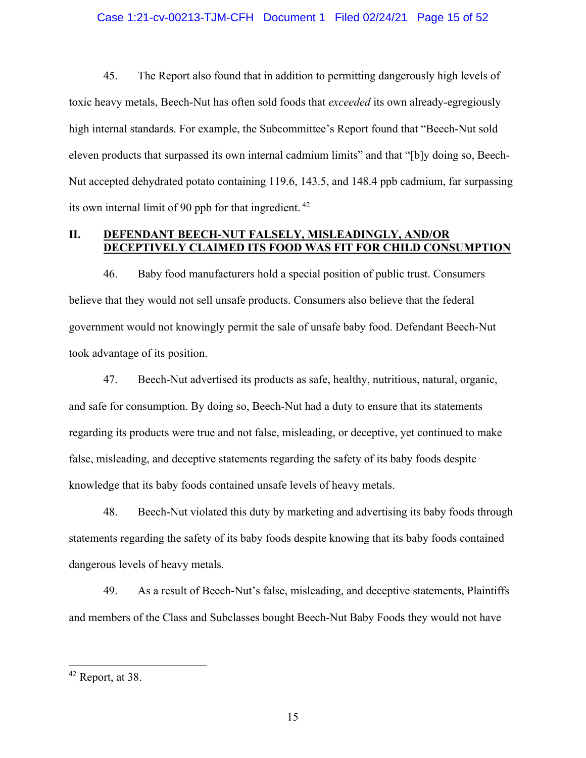#### Case 1:21-cv-00213-TJM-CFH Document 1 Filed 02/24/21 Page 15 of 52

45. The Report also found that in addition to permitting dangerously high levels of toxic heavy metals, Beech-Nut has often sold foods that *exceeded* its own already-egregiously high internal standards. For example, the Subcommittee's Report found that "Beech-Nut sold eleven products that surpassed its own internal cadmium limits" and that "[b]y doing so, Beech-Nut accepted dehydrated potato containing 119.6, 143.5, and 148.4 ppb cadmium, far surpassing its own internal limit of 90 ppb for that ingredient. 42

#### **II. DEFENDANT BEECH-NUT FALSELY, MISLEADINGLY, AND/OR DECEPTIVELY CLAIMED ITS FOOD WAS FIT FOR CHILD CONSUMPTION**

46. Baby food manufacturers hold a special position of public trust. Consumers believe that they would not sell unsafe products. Consumers also believe that the federal government would not knowingly permit the sale of unsafe baby food. Defendant Beech-Nut took advantage of its position.

47. Beech-Nut advertised its products as safe, healthy, nutritious, natural, organic, and safe for consumption. By doing so, Beech-Nut had a duty to ensure that its statements regarding its products were true and not false, misleading, or deceptive, yet continued to make false, misleading, and deceptive statements regarding the safety of its baby foods despite knowledge that its baby foods contained unsafe levels of heavy metals.

48. Beech-Nut violated this duty by marketing and advertising its baby foods through statements regarding the safety of its baby foods despite knowing that its baby foods contained dangerous levels of heavy metals.

49. As a result of Beech-Nut's false, misleading, and deceptive statements, Plaintiffs and members of the Class and Subclasses bought Beech-Nut Baby Foods they would not have

 $42$  Report, at 38.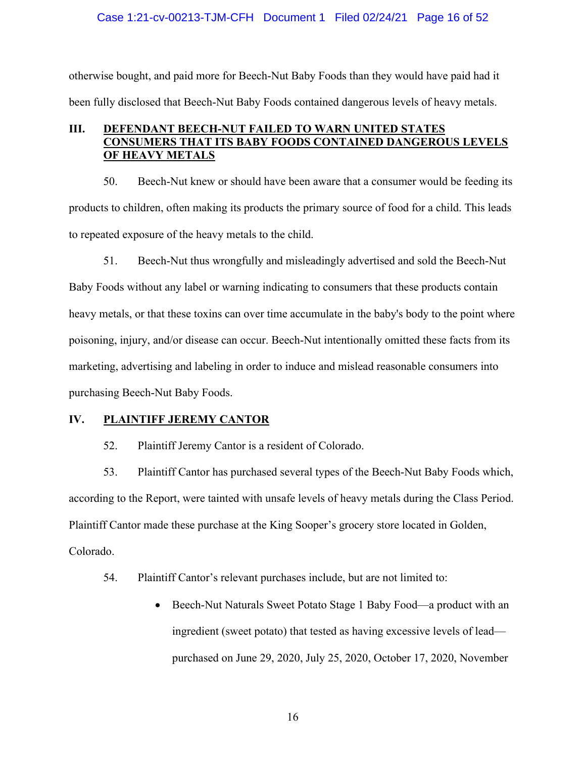#### Case 1:21-cv-00213-TJM-CFH Document 1 Filed 02/24/21 Page 16 of 52

otherwise bought, and paid more for Beech-Nut Baby Foods than they would have paid had it been fully disclosed that Beech-Nut Baby Foods contained dangerous levels of heavy metals.

#### **III. DEFENDANT BEECH-NUT FAILED TO WARN UNITED STATES CONSUMERS THAT ITS BABY FOODS CONTAINED DANGEROUS LEVELS OF HEAVY METALS**

50. Beech-Nut knew or should have been aware that a consumer would be feeding its products to children, often making its products the primary source of food for a child. This leads to repeated exposure of the heavy metals to the child.

51. Beech-Nut thus wrongfully and misleadingly advertised and sold the Beech-Nut Baby Foods without any label or warning indicating to consumers that these products contain heavy metals, or that these toxins can over time accumulate in the baby's body to the point where poisoning, injury, and/or disease can occur. Beech-Nut intentionally omitted these facts from its marketing, advertising and labeling in order to induce and mislead reasonable consumers into purchasing Beech-Nut Baby Foods.

#### **IV. PLAINTIFF JEREMY CANTOR**

52. Plaintiff Jeremy Cantor is a resident of Colorado.

53. Plaintiff Cantor has purchased several types of the Beech-Nut Baby Foods which, according to the Report, were tainted with unsafe levels of heavy metals during the Class Period. Plaintiff Cantor made these purchase at the King Sooper's grocery store located in Golden, Colorado.

- 54. Plaintiff Cantor's relevant purchases include, but are not limited to:
	- Beech-Nut Naturals Sweet Potato Stage 1 Baby Food—a product with an ingredient (sweet potato) that tested as having excessive levels of lead purchased on June 29, 2020, July 25, 2020, October 17, 2020, November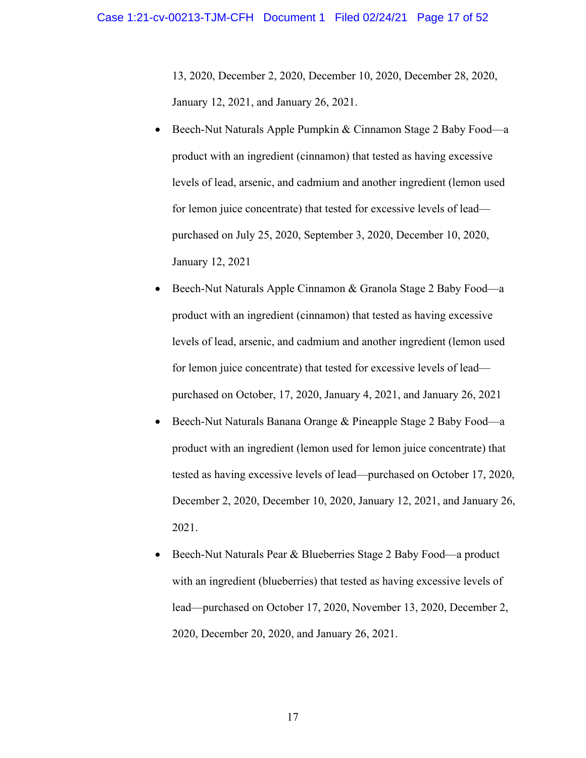13, 2020, December 2, 2020, December 10, 2020, December 28, 2020, January 12, 2021, and January 26, 2021.

- Beech-Nut Naturals Apple Pumpkin & Cinnamon Stage 2 Baby Food—a product with an ingredient (cinnamon) that tested as having excessive levels of lead, arsenic, and cadmium and another ingredient (lemon used for lemon juice concentrate) that tested for excessive levels of lead purchased on July 25, 2020, September 3, 2020, December 10, 2020, January 12, 2021
- Beech-Nut Naturals Apple Cinnamon & Granola Stage 2 Baby Food—a product with an ingredient (cinnamon) that tested as having excessive levels of lead, arsenic, and cadmium and another ingredient (lemon used for lemon juice concentrate) that tested for excessive levels of lead purchased on October, 17, 2020, January 4, 2021, and January 26, 2021
- Beech-Nut Naturals Banana Orange & Pineapple Stage 2 Baby Food—a product with an ingredient (lemon used for lemon juice concentrate) that tested as having excessive levels of lead—purchased on October 17, 2020, December 2, 2020, December 10, 2020, January 12, 2021, and January 26, 2021.
- Beech-Nut Naturals Pear & Blueberries Stage 2 Baby Food—a product with an ingredient (blueberries) that tested as having excessive levels of lead—purchased on October 17, 2020, November 13, 2020, December 2, 2020, December 20, 2020, and January 26, 2021.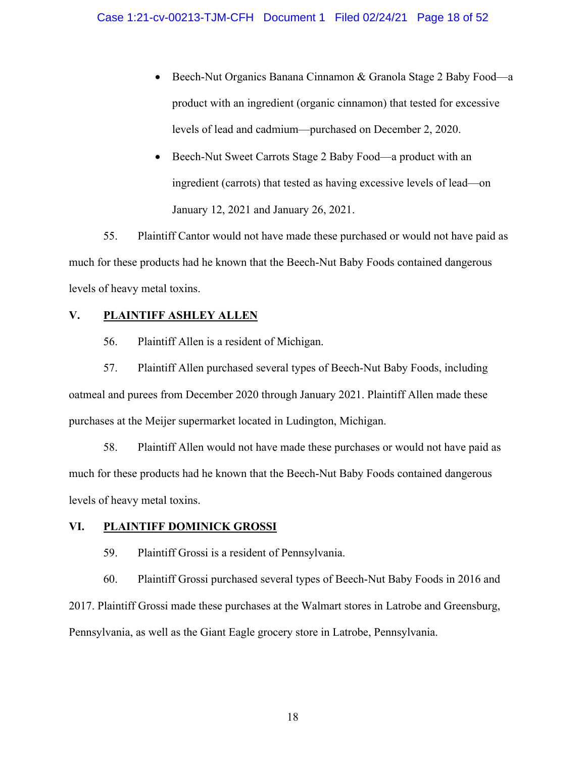- Beech-Nut Organics Banana Cinnamon & Granola Stage 2 Baby Food—a product with an ingredient (organic cinnamon) that tested for excessive levels of lead and cadmium—purchased on December 2, 2020.
- Beech-Nut Sweet Carrots Stage 2 Baby Food—a product with an ingredient (carrots) that tested as having excessive levels of lead—on January 12, 2021 and January 26, 2021.

55. Plaintiff Cantor would not have made these purchased or would not have paid as much for these products had he known that the Beech-Nut Baby Foods contained dangerous levels of heavy metal toxins.

#### **V. PLAINTIFF ASHLEY ALLEN**

56. Plaintiff Allen is a resident of Michigan.

57. Plaintiff Allen purchased several types of Beech-Nut Baby Foods, including oatmeal and purees from December 2020 through January 2021. Plaintiff Allen made these purchases at the Meijer supermarket located in Ludington, Michigan.

58. Plaintiff Allen would not have made these purchases or would not have paid as much for these products had he known that the Beech-Nut Baby Foods contained dangerous levels of heavy metal toxins.

#### **VI. PLAINTIFF DOMINICK GROSSI**

59. Plaintiff Grossi is a resident of Pennsylvania.

60. Plaintiff Grossi purchased several types of Beech-Nut Baby Foods in 2016 and 2017. Plaintiff Grossi made these purchases at the Walmart stores in Latrobe and Greensburg, Pennsylvania, as well as the Giant Eagle grocery store in Latrobe, Pennsylvania.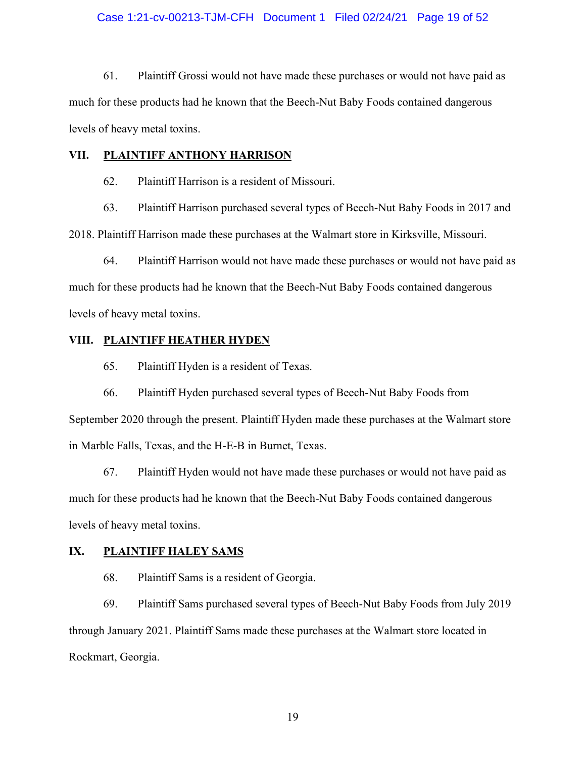#### Case 1:21-cv-00213-TJM-CFH Document 1 Filed 02/24/21 Page 19 of 52

61. Plaintiff Grossi would not have made these purchases or would not have paid as much for these products had he known that the Beech-Nut Baby Foods contained dangerous levels of heavy metal toxins.

#### **VII. PLAINTIFF ANTHONY HARRISON**

62. Plaintiff Harrison is a resident of Missouri.

63. Plaintiff Harrison purchased several types of Beech-Nut Baby Foods in 2017 and 2018. Plaintiff Harrison made these purchases at the Walmart store in Kirksville, Missouri.

64. Plaintiff Harrison would not have made these purchases or would not have paid as much for these products had he known that the Beech-Nut Baby Foods contained dangerous levels of heavy metal toxins.

#### **VIII. PLAINTIFF HEATHER HYDEN**

65. Plaintiff Hyden is a resident of Texas.

66. Plaintiff Hyden purchased several types of Beech-Nut Baby Foods from September 2020 through the present. Plaintiff Hyden made these purchases at the Walmart store in Marble Falls, Texas, and the H-E-B in Burnet, Texas.

67. Plaintiff Hyden would not have made these purchases or would not have paid as much for these products had he known that the Beech-Nut Baby Foods contained dangerous levels of heavy metal toxins.

#### **IX. PLAINTIFF HALEY SAMS**

68. Plaintiff Sams is a resident of Georgia.

69. Plaintiff Sams purchased several types of Beech-Nut Baby Foods from July 2019 through January 2021. Plaintiff Sams made these purchases at the Walmart store located in Rockmart, Georgia.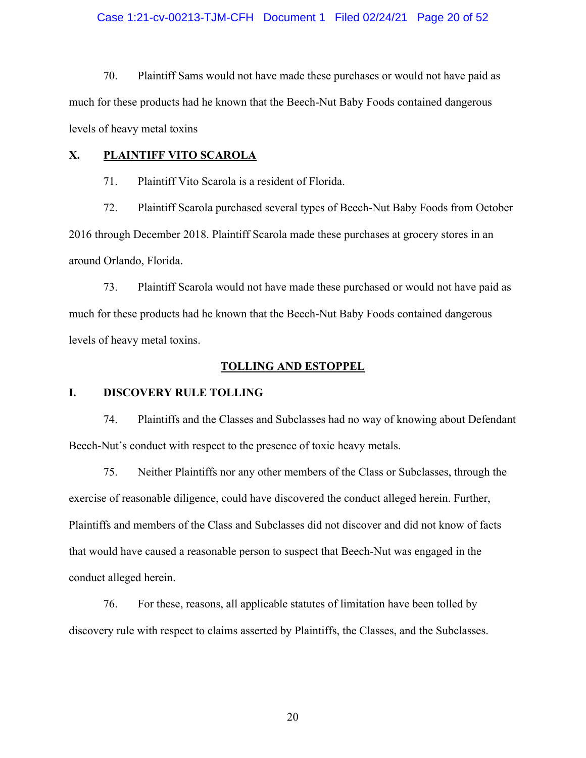#### Case 1:21-cv-00213-TJM-CFH Document 1 Filed 02/24/21 Page 20 of 52

70. Plaintiff Sams would not have made these purchases or would not have paid as much for these products had he known that the Beech-Nut Baby Foods contained dangerous levels of heavy metal toxins

#### **X. PLAINTIFF VITO SCAROLA**

71. Plaintiff Vito Scarola is a resident of Florida.

72. Plaintiff Scarola purchased several types of Beech-Nut Baby Foods from October 2016 through December 2018. Plaintiff Scarola made these purchases at grocery stores in an around Orlando, Florida.

73. Plaintiff Scarola would not have made these purchased or would not have paid as much for these products had he known that the Beech-Nut Baby Foods contained dangerous levels of heavy metal toxins.

#### **TOLLING AND ESTOPPEL**

#### **I. DISCOVERY RULE TOLLING**

74. Plaintiffs and the Classes and Subclasses had no way of knowing about Defendant Beech-Nut's conduct with respect to the presence of toxic heavy metals.

75. Neither Plaintiffs nor any other members of the Class or Subclasses, through the exercise of reasonable diligence, could have discovered the conduct alleged herein. Further, Plaintiffs and members of the Class and Subclasses did not discover and did not know of facts that would have caused a reasonable person to suspect that Beech-Nut was engaged in the conduct alleged herein.

76. For these, reasons, all applicable statutes of limitation have been tolled by discovery rule with respect to claims asserted by Plaintiffs, the Classes, and the Subclasses.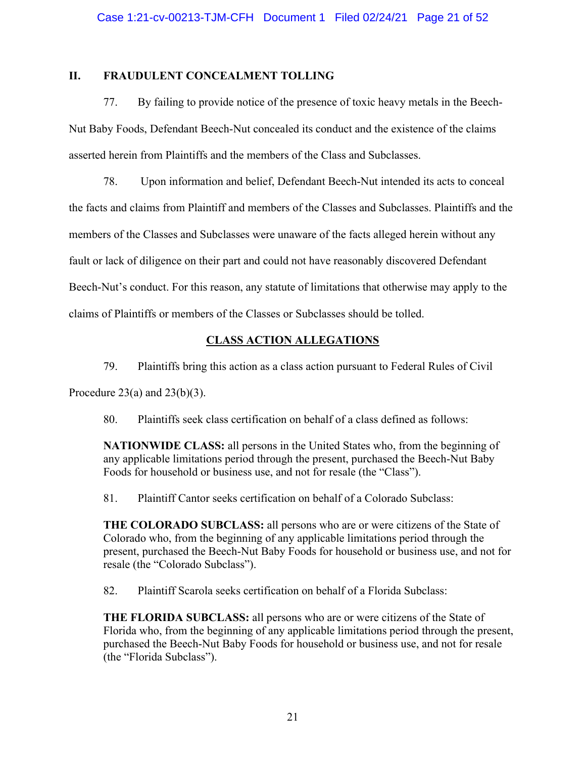#### **II. FRAUDULENT CONCEALMENT TOLLING**

77. By failing to provide notice of the presence of toxic heavy metals in the Beech-Nut Baby Foods, Defendant Beech-Nut concealed its conduct and the existence of the claims asserted herein from Plaintiffs and the members of the Class and Subclasses.

78. Upon information and belief, Defendant Beech-Nut intended its acts to conceal the facts and claims from Plaintiff and members of the Classes and Subclasses. Plaintiffs and the members of the Classes and Subclasses were unaware of the facts alleged herein without any fault or lack of diligence on their part and could not have reasonably discovered Defendant Beech-Nut's conduct. For this reason, any statute of limitations that otherwise may apply to the claims of Plaintiffs or members of the Classes or Subclasses should be tolled.

#### **CLASS ACTION ALLEGATIONS**

79. Plaintiffs bring this action as a class action pursuant to Federal Rules of Civil

Procedure 23(a) and  $23(b)(3)$ .

80. Plaintiffs seek class certification on behalf of a class defined as follows:

**NATIONWIDE CLASS:** all persons in the United States who, from the beginning of any applicable limitations period through the present, purchased the Beech-Nut Baby Foods for household or business use, and not for resale (the "Class").

81. Plaintiff Cantor seeks certification on behalf of a Colorado Subclass:

**THE COLORADO SUBCLASS:** all persons who are or were citizens of the State of Colorado who, from the beginning of any applicable limitations period through the present, purchased the Beech-Nut Baby Foods for household or business use, and not for resale (the "Colorado Subclass").

82. Plaintiff Scarola seeks certification on behalf of a Florida Subclass:

**THE FLORIDA SUBCLASS:** all persons who are or were citizens of the State of Florida who, from the beginning of any applicable limitations period through the present, purchased the Beech-Nut Baby Foods for household or business use, and not for resale (the "Florida Subclass").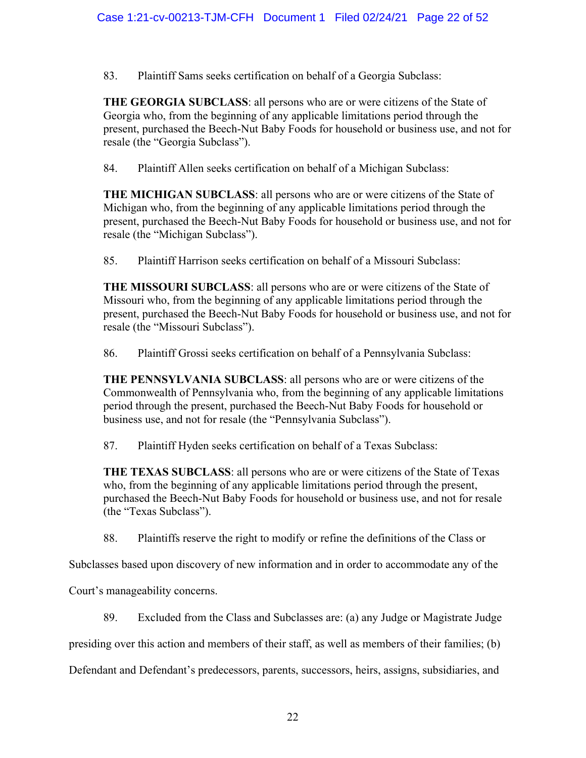83. Plaintiff Sams seeks certification on behalf of a Georgia Subclass:

**THE GEORGIA SUBCLASS**: all persons who are or were citizens of the State of Georgia who, from the beginning of any applicable limitations period through the present, purchased the Beech-Nut Baby Foods for household or business use, and not for resale (the "Georgia Subclass").

84. Plaintiff Allen seeks certification on behalf of a Michigan Subclass:

**THE MICHIGAN SUBCLASS**: all persons who are or were citizens of the State of Michigan who, from the beginning of any applicable limitations period through the present, purchased the Beech-Nut Baby Foods for household or business use, and not for resale (the "Michigan Subclass").

85. Plaintiff Harrison seeks certification on behalf of a Missouri Subclass:

**THE MISSOURI SUBCLASS**: all persons who are or were citizens of the State of Missouri who, from the beginning of any applicable limitations period through the present, purchased the Beech-Nut Baby Foods for household or business use, and not for resale (the "Missouri Subclass").

86. Plaintiff Grossi seeks certification on behalf of a Pennsylvania Subclass:

**THE PENNSYLVANIA SUBCLASS**: all persons who are or were citizens of the Commonwealth of Pennsylvania who, from the beginning of any applicable limitations period through the present, purchased the Beech-Nut Baby Foods for household or business use, and not for resale (the "Pennsylvania Subclass").

87. Plaintiff Hyden seeks certification on behalf of a Texas Subclass:

**THE TEXAS SUBCLASS**: all persons who are or were citizens of the State of Texas who, from the beginning of any applicable limitations period through the present, purchased the Beech-Nut Baby Foods for household or business use, and not for resale (the "Texas Subclass").

88. Plaintiffs reserve the right to modify or refine the definitions of the Class or

Subclasses based upon discovery of new information and in order to accommodate any of the

Court's manageability concerns.

89. Excluded from the Class and Subclasses are: (a) any Judge or Magistrate Judge

presiding over this action and members of their staff, as well as members of their families; (b)

Defendant and Defendant's predecessors, parents, successors, heirs, assigns, subsidiaries, and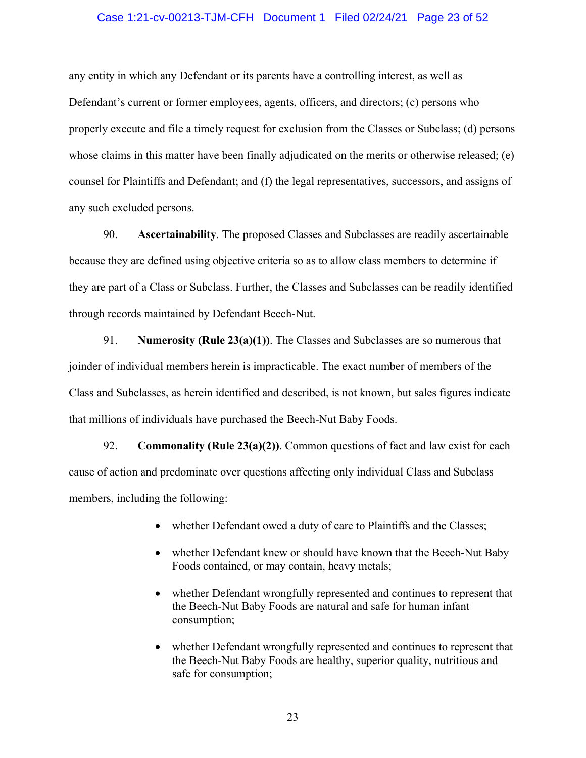#### Case 1:21-cv-00213-TJM-CFH Document 1 Filed 02/24/21 Page 23 of 52

any entity in which any Defendant or its parents have a controlling interest, as well as Defendant's current or former employees, agents, officers, and directors; (c) persons who properly execute and file a timely request for exclusion from the Classes or Subclass; (d) persons whose claims in this matter have been finally adjudicated on the merits or otherwise released; (e) counsel for Plaintiffs and Defendant; and (f) the legal representatives, successors, and assigns of any such excluded persons.

90. **Ascertainability**. The proposed Classes and Subclasses are readily ascertainable because they are defined using objective criteria so as to allow class members to determine if they are part of a Class or Subclass. Further, the Classes and Subclasses can be readily identified through records maintained by Defendant Beech-Nut.

91. **Numerosity (Rule 23(a)(1))**. The Classes and Subclasses are so numerous that joinder of individual members herein is impracticable. The exact number of members of the Class and Subclasses, as herein identified and described, is not known, but sales figures indicate that millions of individuals have purchased the Beech-Nut Baby Foods.

92. **Commonality (Rule 23(a)(2))**. Common questions of fact and law exist for each cause of action and predominate over questions affecting only individual Class and Subclass members, including the following:

- whether Defendant owed a duty of care to Plaintiffs and the Classes;
- whether Defendant knew or should have known that the Beech-Nut Baby Foods contained, or may contain, heavy metals;
- whether Defendant wrongfully represented and continues to represent that the Beech-Nut Baby Foods are natural and safe for human infant consumption;
- whether Defendant wrongfully represented and continues to represent that the Beech-Nut Baby Foods are healthy, superior quality, nutritious and safe for consumption;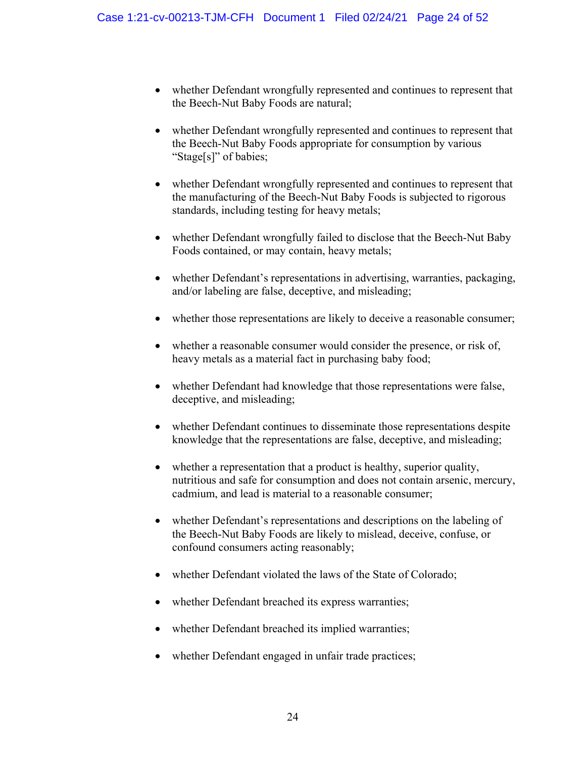- whether Defendant wrongfully represented and continues to represent that the Beech-Nut Baby Foods are natural;
- whether Defendant wrongfully represented and continues to represent that the Beech-Nut Baby Foods appropriate for consumption by various "Stage[s]" of babies;
- whether Defendant wrongfully represented and continues to represent that the manufacturing of the Beech-Nut Baby Foods is subjected to rigorous standards, including testing for heavy metals;
- whether Defendant wrongfully failed to disclose that the Beech-Nut Baby Foods contained, or may contain, heavy metals;
- whether Defendant's representations in advertising, warranties, packaging, and/or labeling are false, deceptive, and misleading;
- whether those representations are likely to deceive a reasonable consumer;
- whether a reasonable consumer would consider the presence, or risk of, heavy metals as a material fact in purchasing baby food;
- whether Defendant had knowledge that those representations were false, deceptive, and misleading;
- whether Defendant continues to disseminate those representations despite knowledge that the representations are false, deceptive, and misleading;
- whether a representation that a product is healthy, superior quality, nutritious and safe for consumption and does not contain arsenic, mercury, cadmium, and lead is material to a reasonable consumer;
- whether Defendant's representations and descriptions on the labeling of the Beech-Nut Baby Foods are likely to mislead, deceive, confuse, or confound consumers acting reasonably;
- whether Defendant violated the laws of the State of Colorado;
- whether Defendant breached its express warranties;
- whether Defendant breached its implied warranties;
- whether Defendant engaged in unfair trade practices;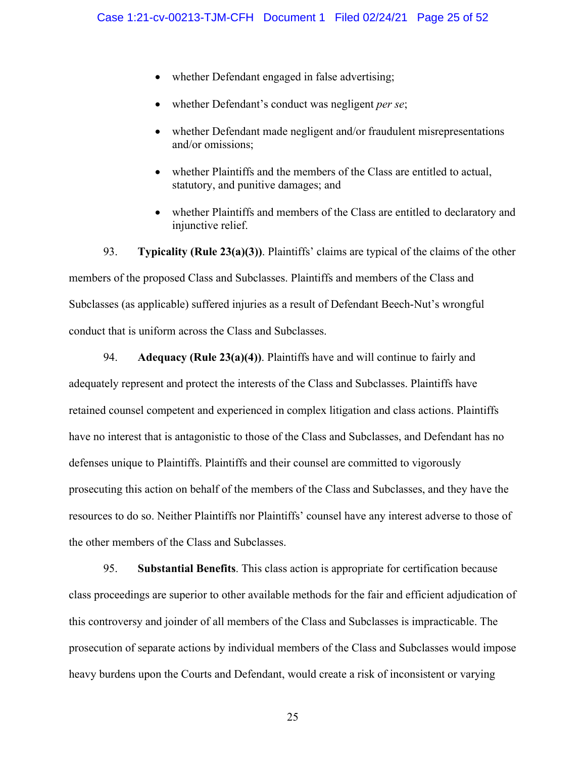- whether Defendant engaged in false advertising;
- whether Defendant's conduct was negligent *per se*;
- whether Defendant made negligent and/or fraudulent misrepresentations and/or omissions;
- whether Plaintiffs and the members of the Class are entitled to actual, statutory, and punitive damages; and
- whether Plaintiffs and members of the Class are entitled to declaratory and injunctive relief.

93. **Typicality (Rule 23(a)(3))**. Plaintiffs' claims are typical of the claims of the other members of the proposed Class and Subclasses. Plaintiffs and members of the Class and Subclasses (as applicable) suffered injuries as a result of Defendant Beech-Nut's wrongful conduct that is uniform across the Class and Subclasses.

94. **Adequacy (Rule 23(a)(4))**. Plaintiffs have and will continue to fairly and adequately represent and protect the interests of the Class and Subclasses. Plaintiffs have retained counsel competent and experienced in complex litigation and class actions. Plaintiffs have no interest that is antagonistic to those of the Class and Subclasses, and Defendant has no defenses unique to Plaintiffs. Plaintiffs and their counsel are committed to vigorously prosecuting this action on behalf of the members of the Class and Subclasses, and they have the resources to do so. Neither Plaintiffs nor Plaintiffs' counsel have any interest adverse to those of the other members of the Class and Subclasses.

95. **Substantial Benefits**. This class action is appropriate for certification because class proceedings are superior to other available methods for the fair and efficient adjudication of this controversy and joinder of all members of the Class and Subclasses is impracticable. The prosecution of separate actions by individual members of the Class and Subclasses would impose heavy burdens upon the Courts and Defendant, would create a risk of inconsistent or varying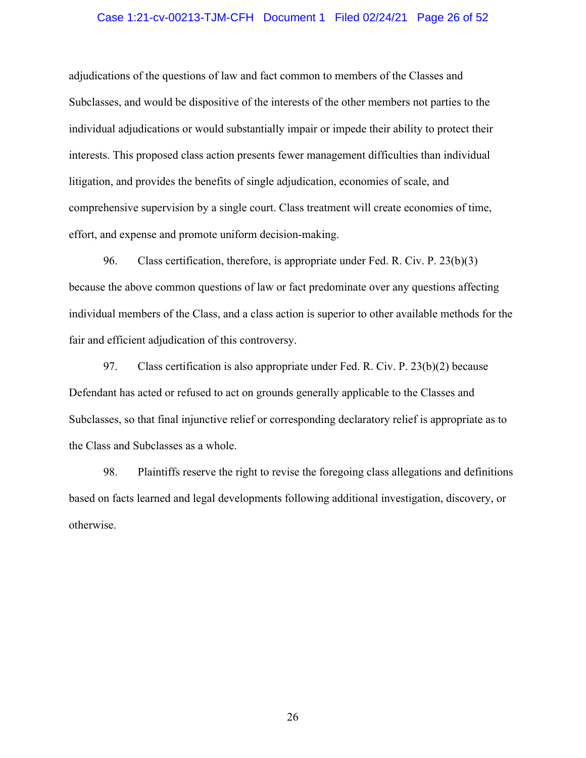#### Case 1:21-cv-00213-TJM-CFH Document 1 Filed 02/24/21 Page 26 of 52

adjudications of the questions of law and fact common to members of the Classes and Subclasses, and would be dispositive of the interests of the other members not parties to the individual adjudications or would substantially impair or impede their ability to protect their interests. This proposed class action presents fewer management difficulties than individual litigation, and provides the benefits of single adjudication, economies of scale, and comprehensive supervision by a single court. Class treatment will create economies of time, effort, and expense and promote uniform decision-making.

96. Class certification, therefore, is appropriate under Fed. R. Civ. P. 23(b)(3) because the above common questions of law or fact predominate over any questions affecting individual members of the Class, and a class action is superior to other available methods for the fair and efficient adjudication of this controversy.

97. Class certification is also appropriate under Fed. R. Civ. P. 23(b)(2) because Defendant has acted or refused to act on grounds generally applicable to the Classes and Subclasses, so that final injunctive relief or corresponding declaratory relief is appropriate as to the Class and Subclasses as a whole.

98. Plaintiffs reserve the right to revise the foregoing class allegations and definitions based on facts learned and legal developments following additional investigation, discovery, or otherwise.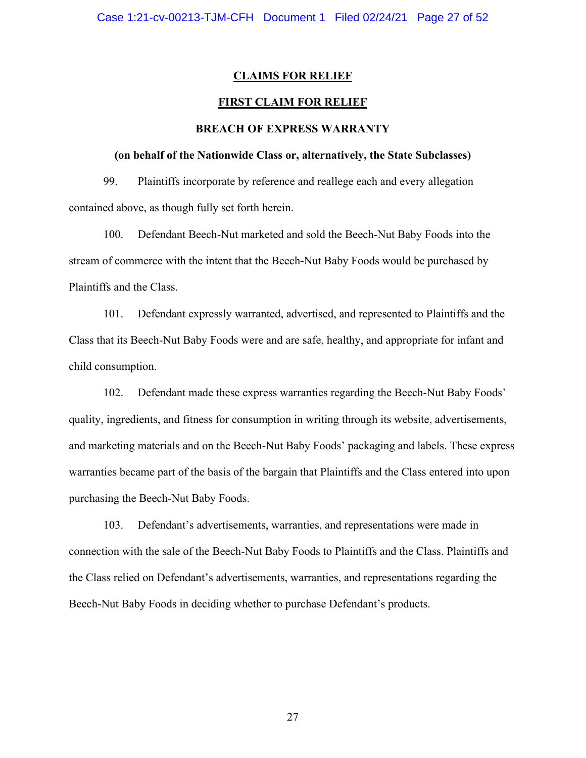#### **CLAIMS FOR RELIEF**

#### **FIRST CLAIM FOR RELIEF**

#### **BREACH OF EXPRESS WARRANTY**

#### **(on behalf of the Nationwide Class or, alternatively, the State Subclasses)**

99. Plaintiffs incorporate by reference and reallege each and every allegation contained above, as though fully set forth herein.

100. Defendant Beech-Nut marketed and sold the Beech-Nut Baby Foods into the stream of commerce with the intent that the Beech-Nut Baby Foods would be purchased by Plaintiffs and the Class.

101. Defendant expressly warranted, advertised, and represented to Plaintiffs and the Class that its Beech-Nut Baby Foods were and are safe, healthy, and appropriate for infant and child consumption.

102. Defendant made these express warranties regarding the Beech-Nut Baby Foods' quality, ingredients, and fitness for consumption in writing through its website, advertisements, and marketing materials and on the Beech-Nut Baby Foods' packaging and labels. These express warranties became part of the basis of the bargain that Plaintiffs and the Class entered into upon purchasing the Beech-Nut Baby Foods.

103. Defendant's advertisements, warranties, and representations were made in connection with the sale of the Beech-Nut Baby Foods to Plaintiffs and the Class. Plaintiffs and the Class relied on Defendant's advertisements, warranties, and representations regarding the Beech-Nut Baby Foods in deciding whether to purchase Defendant's products.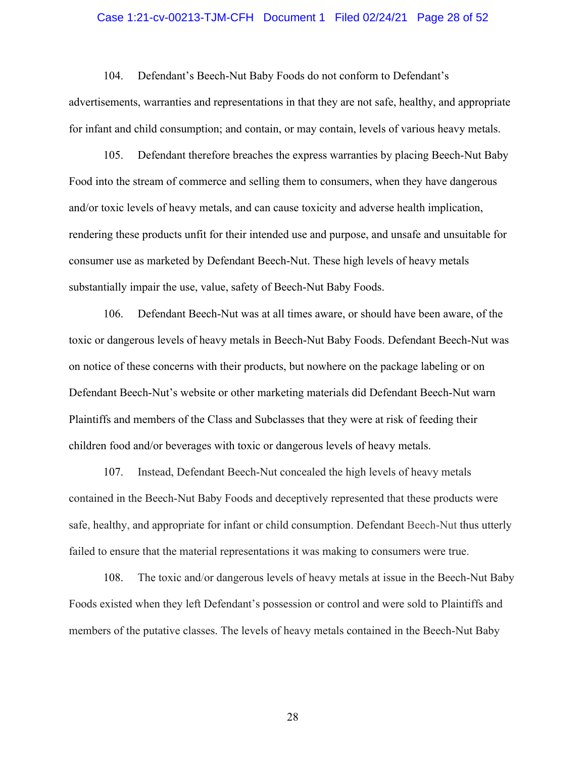#### Case 1:21-cv-00213-TJM-CFH Document 1 Filed 02/24/21 Page 28 of 52

104. Defendant's Beech-Nut Baby Foods do not conform to Defendant's advertisements, warranties and representations in that they are not safe, healthy, and appropriate for infant and child consumption; and contain, or may contain, levels of various heavy metals.

105. Defendant therefore breaches the express warranties by placing Beech-Nut Baby Food into the stream of commerce and selling them to consumers, when they have dangerous and/or toxic levels of heavy metals, and can cause toxicity and adverse health implication, rendering these products unfit for their intended use and purpose, and unsafe and unsuitable for consumer use as marketed by Defendant Beech-Nut. These high levels of heavy metals substantially impair the use, value, safety of Beech-Nut Baby Foods.

106. Defendant Beech-Nut was at all times aware, or should have been aware, of the toxic or dangerous levels of heavy metals in Beech-Nut Baby Foods. Defendant Beech-Nut was on notice of these concerns with their products, but nowhere on the package labeling or on Defendant Beech-Nut's website or other marketing materials did Defendant Beech-Nut warn Plaintiffs and members of the Class and Subclasses that they were at risk of feeding their children food and/or beverages with toxic or dangerous levels of heavy metals.

107. Instead, Defendant Beech-Nut concealed the high levels of heavy metals contained in the Beech-Nut Baby Foods and deceptively represented that these products were safe, healthy, and appropriate for infant or child consumption. Defendant Beech-Nut thus utterly failed to ensure that the material representations it was making to consumers were true.

108. The toxic and/or dangerous levels of heavy metals at issue in the Beech-Nut Baby Foods existed when they left Defendant's possession or control and were sold to Plaintiffs and members of the putative classes. The levels of heavy metals contained in the Beech-Nut Baby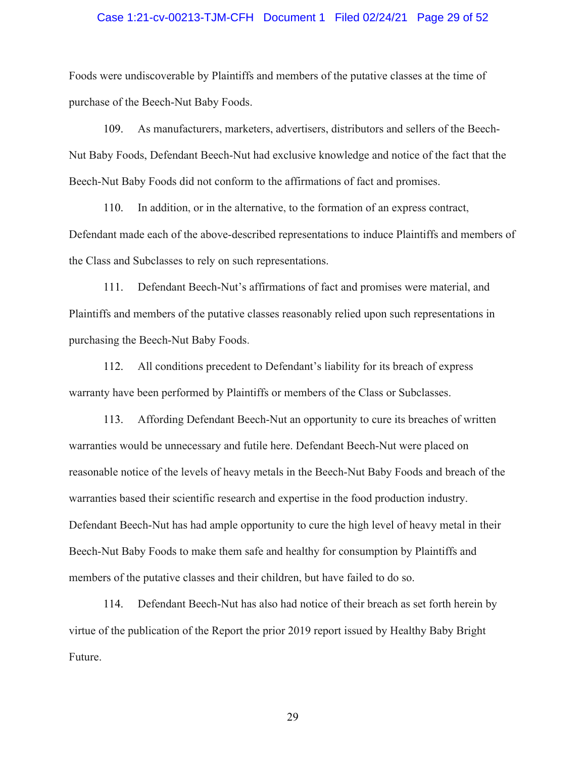#### Case 1:21-cv-00213-TJM-CFH Document 1 Filed 02/24/21 Page 29 of 52

Foods were undiscoverable by Plaintiffs and members of the putative classes at the time of purchase of the Beech-Nut Baby Foods.

109. As manufacturers, marketers, advertisers, distributors and sellers of the Beech-Nut Baby Foods, Defendant Beech-Nut had exclusive knowledge and notice of the fact that the Beech-Nut Baby Foods did not conform to the affirmations of fact and promises.

110. In addition, or in the alternative, to the formation of an express contract, Defendant made each of the above-described representations to induce Plaintiffs and members of the Class and Subclasses to rely on such representations.

111. Defendant Beech-Nut's affirmations of fact and promises were material, and Plaintiffs and members of the putative classes reasonably relied upon such representations in purchasing the Beech-Nut Baby Foods.

112. All conditions precedent to Defendant's liability for its breach of express warranty have been performed by Plaintiffs or members of the Class or Subclasses.

113. Affording Defendant Beech-Nut an opportunity to cure its breaches of written warranties would be unnecessary and futile here. Defendant Beech-Nut were placed on reasonable notice of the levels of heavy metals in the Beech-Nut Baby Foods and breach of the warranties based their scientific research and expertise in the food production industry. Defendant Beech-Nut has had ample opportunity to cure the high level of heavy metal in their Beech-Nut Baby Foods to make them safe and healthy for consumption by Plaintiffs and members of the putative classes and their children, but have failed to do so.

114. Defendant Beech-Nut has also had notice of their breach as set forth herein by virtue of the publication of the Report the prior 2019 report issued by Healthy Baby Bright Future.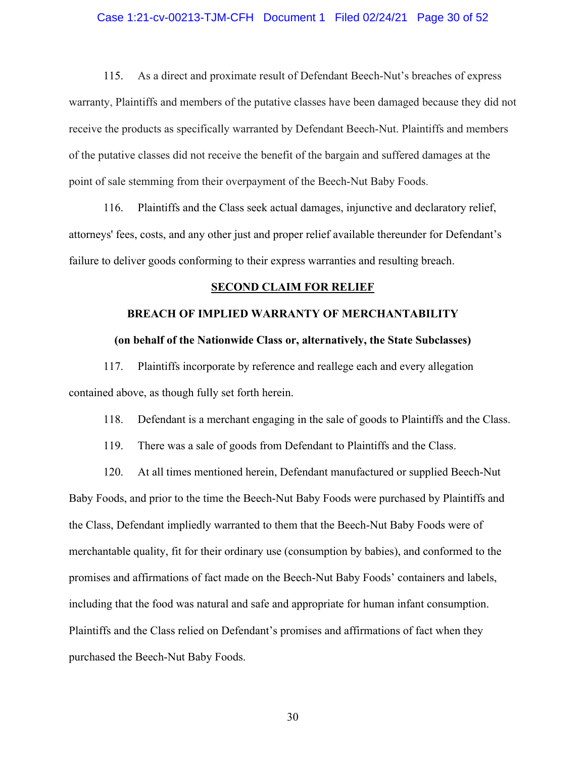#### Case 1:21-cv-00213-TJM-CFH Document 1 Filed 02/24/21 Page 30 of 52

115. As a direct and proximate result of Defendant Beech-Nut's breaches of express warranty, Plaintiffs and members of the putative classes have been damaged because they did not receive the products as specifically warranted by Defendant Beech-Nut. Plaintiffs and members of the putative classes did not receive the benefit of the bargain and suffered damages at the point of sale stemming from their overpayment of the Beech-Nut Baby Foods.

116. Plaintiffs and the Class seek actual damages, injunctive and declaratory relief, attorneys' fees, costs, and any other just and proper relief available thereunder for Defendant's failure to deliver goods conforming to their express warranties and resulting breach.

#### **SECOND CLAIM FOR RELIEF**

# **BREACH OF IMPLIED WARRANTY OF MERCHANTABILITY**

### **(on behalf of the Nationwide Class or, alternatively, the State Subclasses)**

117. Plaintiffs incorporate by reference and reallege each and every allegation contained above, as though fully set forth herein.

#### 118. Defendant is a merchant engaging in the sale of goods to Plaintiffs and the Class.

119. There was a sale of goods from Defendant to Plaintiffs and the Class.

120. At all times mentioned herein, Defendant manufactured or supplied Beech-Nut Baby Foods, and prior to the time the Beech-Nut Baby Foods were purchased by Plaintiffs and the Class, Defendant impliedly warranted to them that the Beech-Nut Baby Foods were of merchantable quality, fit for their ordinary use (consumption by babies), and conformed to the promises and affirmations of fact made on the Beech-Nut Baby Foods' containers and labels, including that the food was natural and safe and appropriate for human infant consumption. Plaintiffs and the Class relied on Defendant's promises and affirmations of fact when they purchased the Beech-Nut Baby Foods.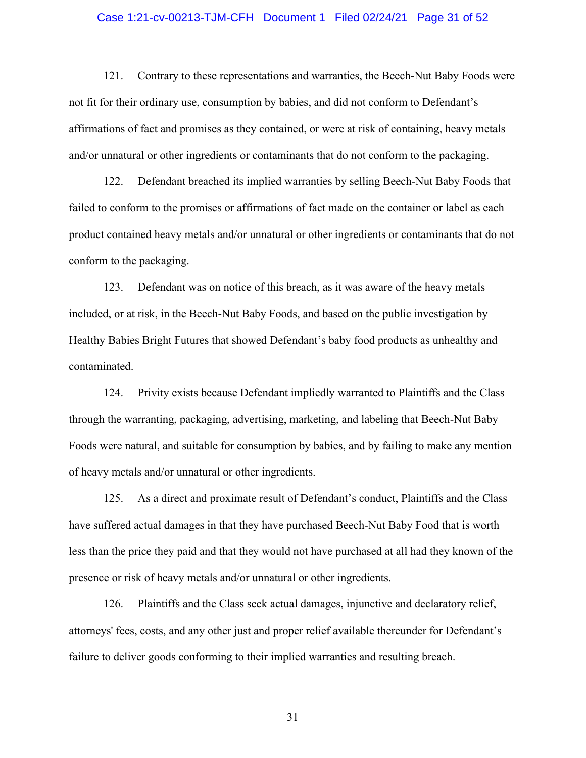#### Case 1:21-cv-00213-TJM-CFH Document 1 Filed 02/24/21 Page 31 of 52

121. Contrary to these representations and warranties, the Beech-Nut Baby Foods were not fit for their ordinary use, consumption by babies, and did not conform to Defendant's affirmations of fact and promises as they contained, or were at risk of containing, heavy metals and/or unnatural or other ingredients or contaminants that do not conform to the packaging.

122. Defendant breached its implied warranties by selling Beech-Nut Baby Foods that failed to conform to the promises or affirmations of fact made on the container or label as each product contained heavy metals and/or unnatural or other ingredients or contaminants that do not conform to the packaging.

123. Defendant was on notice of this breach, as it was aware of the heavy metals included, or at risk, in the Beech-Nut Baby Foods, and based on the public investigation by Healthy Babies Bright Futures that showed Defendant's baby food products as unhealthy and contaminated.

124. Privity exists because Defendant impliedly warranted to Plaintiffs and the Class through the warranting, packaging, advertising, marketing, and labeling that Beech-Nut Baby Foods were natural, and suitable for consumption by babies, and by failing to make any mention of heavy metals and/or unnatural or other ingredients.

125. As a direct and proximate result of Defendant's conduct, Plaintiffs and the Class have suffered actual damages in that they have purchased Beech-Nut Baby Food that is worth less than the price they paid and that they would not have purchased at all had they known of the presence or risk of heavy metals and/or unnatural or other ingredients.

126. Plaintiffs and the Class seek actual damages, injunctive and declaratory relief, attorneys' fees, costs, and any other just and proper relief available thereunder for Defendant's failure to deliver goods conforming to their implied warranties and resulting breach.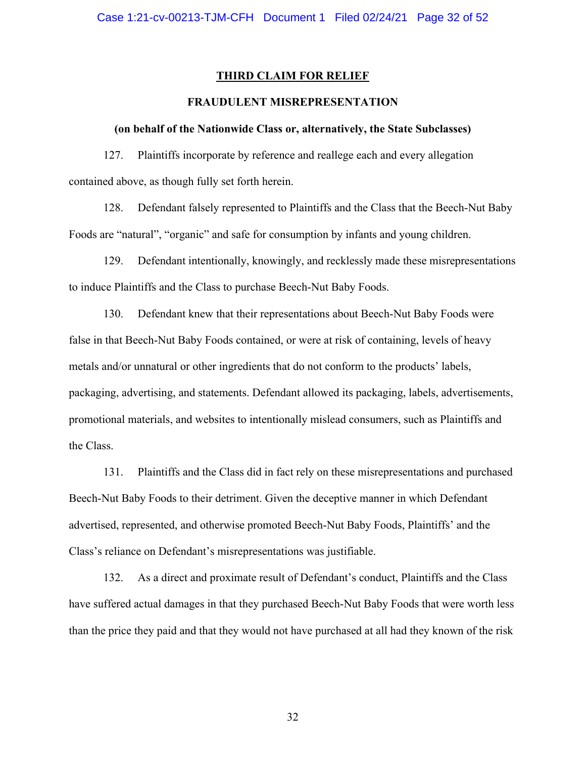#### **THIRD CLAIM FOR RELIEF**

#### **FRAUDULENT MISREPRESENTATION**

#### **(on behalf of the Nationwide Class or, alternatively, the State Subclasses)**

127. Plaintiffs incorporate by reference and reallege each and every allegation contained above, as though fully set forth herein.

128. Defendant falsely represented to Plaintiffs and the Class that the Beech-Nut Baby Foods are "natural", "organic" and safe for consumption by infants and young children.

129. Defendant intentionally, knowingly, and recklessly made these misrepresentations to induce Plaintiffs and the Class to purchase Beech-Nut Baby Foods.

130. Defendant knew that their representations about Beech-Nut Baby Foods were false in that Beech-Nut Baby Foods contained, or were at risk of containing, levels of heavy metals and/or unnatural or other ingredients that do not conform to the products' labels, packaging, advertising, and statements. Defendant allowed its packaging, labels, advertisements, promotional materials, and websites to intentionally mislead consumers, such as Plaintiffs and the Class.

131. Plaintiffs and the Class did in fact rely on these misrepresentations and purchased Beech-Nut Baby Foods to their detriment. Given the deceptive manner in which Defendant advertised, represented, and otherwise promoted Beech-Nut Baby Foods, Plaintiffs' and the Class's reliance on Defendant's misrepresentations was justifiable.

132. As a direct and proximate result of Defendant's conduct, Plaintiffs and the Class have suffered actual damages in that they purchased Beech-Nut Baby Foods that were worth less than the price they paid and that they would not have purchased at all had they known of the risk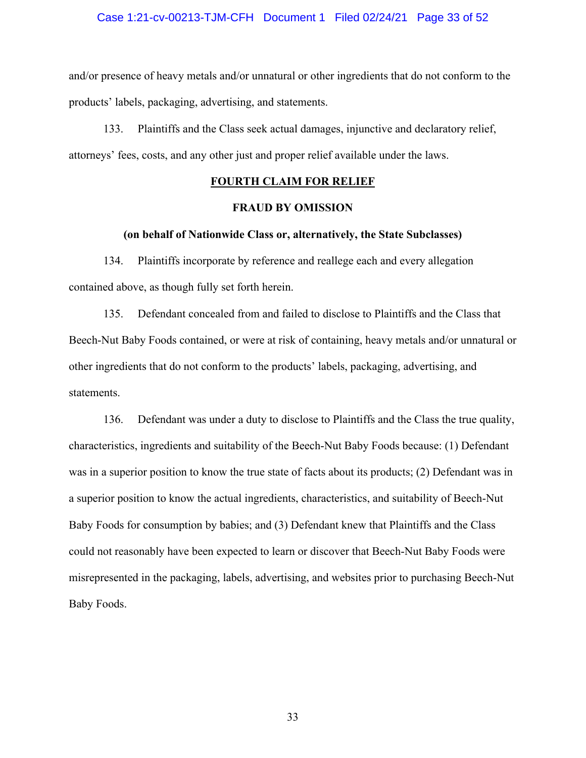#### Case 1:21-cv-00213-TJM-CFH Document 1 Filed 02/24/21 Page 33 of 52

and/or presence of heavy metals and/or unnatural or other ingredients that do not conform to the products' labels, packaging, advertising, and statements.

133. Plaintiffs and the Class seek actual damages, injunctive and declaratory relief, attorneys' fees, costs, and any other just and proper relief available under the laws.

#### **FOURTH CLAIM FOR RELIEF**

#### **FRAUD BY OMISSION**

#### **(on behalf of Nationwide Class or, alternatively, the State Subclasses)**

134. Plaintiffs incorporate by reference and reallege each and every allegation contained above, as though fully set forth herein.

135. Defendant concealed from and failed to disclose to Plaintiffs and the Class that Beech-Nut Baby Foods contained, or were at risk of containing, heavy metals and/or unnatural or other ingredients that do not conform to the products' labels, packaging, advertising, and statements.

136. Defendant was under a duty to disclose to Plaintiffs and the Class the true quality, characteristics, ingredients and suitability of the Beech-Nut Baby Foods because: (1) Defendant was in a superior position to know the true state of facts about its products; (2) Defendant was in a superior position to know the actual ingredients, characteristics, and suitability of Beech-Nut Baby Foods for consumption by babies; and (3) Defendant knew that Plaintiffs and the Class could not reasonably have been expected to learn or discover that Beech-Nut Baby Foods were misrepresented in the packaging, labels, advertising, and websites prior to purchasing Beech-Nut Baby Foods.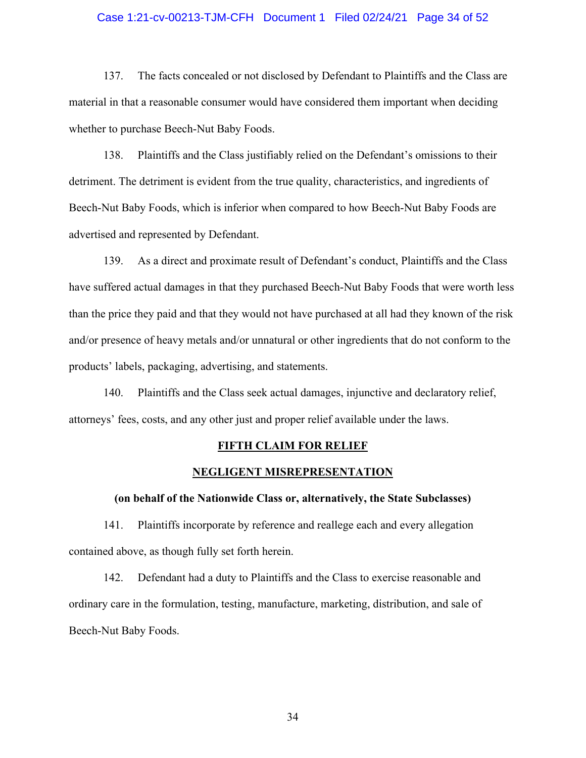#### Case 1:21-cv-00213-TJM-CFH Document 1 Filed 02/24/21 Page 34 of 52

137. The facts concealed or not disclosed by Defendant to Plaintiffs and the Class are material in that a reasonable consumer would have considered them important when deciding whether to purchase Beech-Nut Baby Foods.

138. Plaintiffs and the Class justifiably relied on the Defendant's omissions to their detriment. The detriment is evident from the true quality, characteristics, and ingredients of Beech-Nut Baby Foods, which is inferior when compared to how Beech-Nut Baby Foods are advertised and represented by Defendant.

139. As a direct and proximate result of Defendant's conduct, Plaintiffs and the Class have suffered actual damages in that they purchased Beech-Nut Baby Foods that were worth less than the price they paid and that they would not have purchased at all had they known of the risk and/or presence of heavy metals and/or unnatural or other ingredients that do not conform to the products' labels, packaging, advertising, and statements.

140. Plaintiffs and the Class seek actual damages, injunctive and declaratory relief, attorneys' fees, costs, and any other just and proper relief available under the laws.

#### **FIFTH CLAIM FOR RELIEF**

#### **NEGLIGENT MISREPRESENTATION**

#### **(on behalf of the Nationwide Class or, alternatively, the State Subclasses)**

141. Plaintiffs incorporate by reference and reallege each and every allegation contained above, as though fully set forth herein.

142. Defendant had a duty to Plaintiffs and the Class to exercise reasonable and ordinary care in the formulation, testing, manufacture, marketing, distribution, and sale of Beech-Nut Baby Foods.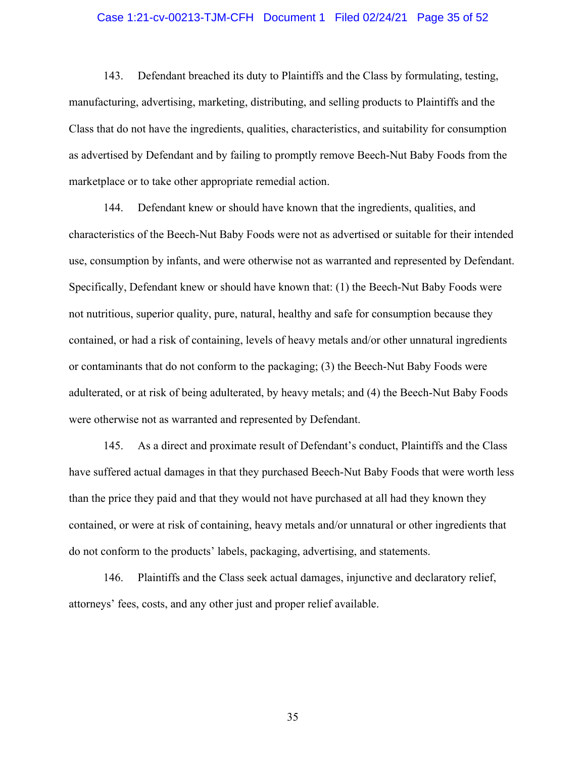#### Case 1:21-cv-00213-TJM-CFH Document 1 Filed 02/24/21 Page 35 of 52

143. Defendant breached its duty to Plaintiffs and the Class by formulating, testing, manufacturing, advertising, marketing, distributing, and selling products to Plaintiffs and the Class that do not have the ingredients, qualities, characteristics, and suitability for consumption as advertised by Defendant and by failing to promptly remove Beech-Nut Baby Foods from the marketplace or to take other appropriate remedial action.

144. Defendant knew or should have known that the ingredients, qualities, and characteristics of the Beech-Nut Baby Foods were not as advertised or suitable for their intended use, consumption by infants, and were otherwise not as warranted and represented by Defendant. Specifically, Defendant knew or should have known that: (1) the Beech-Nut Baby Foods were not nutritious, superior quality, pure, natural, healthy and safe for consumption because they contained, or had a risk of containing, levels of heavy metals and/or other unnatural ingredients or contaminants that do not conform to the packaging; (3) the Beech-Nut Baby Foods were adulterated, or at risk of being adulterated, by heavy metals; and (4) the Beech-Nut Baby Foods were otherwise not as warranted and represented by Defendant.

145. As a direct and proximate result of Defendant's conduct, Plaintiffs and the Class have suffered actual damages in that they purchased Beech-Nut Baby Foods that were worth less than the price they paid and that they would not have purchased at all had they known they contained, or were at risk of containing, heavy metals and/or unnatural or other ingredients that do not conform to the products' labels, packaging, advertising, and statements.

146. Plaintiffs and the Class seek actual damages, injunctive and declaratory relief, attorneys' fees, costs, and any other just and proper relief available.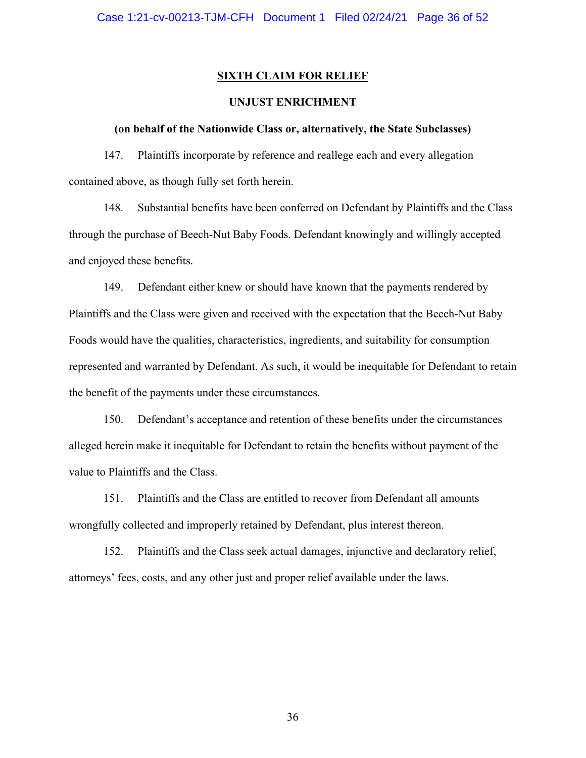#### **SIXTH CLAIM FOR RELIEF**

#### **UNJUST ENRICHMENT**

#### **(on behalf of the Nationwide Class or, alternatively, the State Subclasses)**

147. Plaintiffs incorporate by reference and reallege each and every allegation contained above, as though fully set forth herein.

148. Substantial benefits have been conferred on Defendant by Plaintiffs and the Class through the purchase of Beech-Nut Baby Foods. Defendant knowingly and willingly accepted and enjoyed these benefits.

149. Defendant either knew or should have known that the payments rendered by Plaintiffs and the Class were given and received with the expectation that the Beech-Nut Baby Foods would have the qualities, characteristics, ingredients, and suitability for consumption represented and warranted by Defendant. As such, it would be inequitable for Defendant to retain the benefit of the payments under these circumstances.

150. Defendant's acceptance and retention of these benefits under the circumstances alleged herein make it inequitable for Defendant to retain the benefits without payment of the value to Plaintiffs and the Class.

151. Plaintiffs and the Class are entitled to recover from Defendant all amounts wrongfully collected and improperly retained by Defendant, plus interest thereon.

152. Plaintiffs and the Class seek actual damages, injunctive and declaratory relief, attorneys' fees, costs, and any other just and proper relief available under the laws.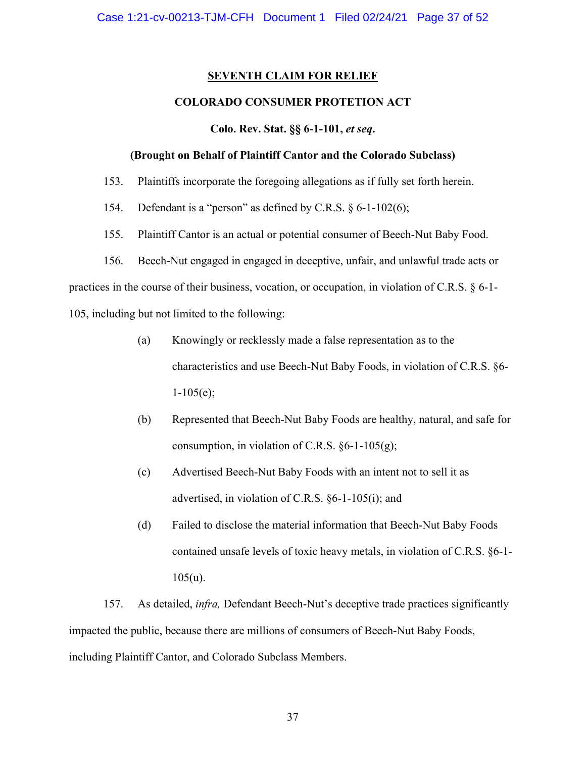#### **SEVENTH CLAIM FOR RELIEF**

#### **COLORADO CONSUMER PROTETION ACT**

#### **Colo. Rev. Stat. §§ 6-1-101,** *et seq***.**

#### **(Brought on Behalf of Plaintiff Cantor and the Colorado Subclass)**

- 153. Plaintiffs incorporate the foregoing allegations as if fully set forth herein.
- 154. Defendant is a "person" as defined by C.R.S. § 6-1-102(6);
- 155. Plaintiff Cantor is an actual or potential consumer of Beech-Nut Baby Food.
- 156. Beech-Nut engaged in engaged in deceptive, unfair, and unlawful trade acts or

practices in the course of their business, vocation, or occupation, in violation of C.R.S. § 6-1- 105, including but not limited to the following:

- (a) Knowingly or recklessly made a false representation as to the characteristics and use Beech-Nut Baby Foods, in violation of C.R.S. §6-  $1-105(e);$
- (b) Represented that Beech-Nut Baby Foods are healthy, natural, and safe for consumption, in violation of C.R.S.  $\S6-1-105(g)$ ;
- (c) Advertised Beech-Nut Baby Foods with an intent not to sell it as advertised, in violation of C.R.S. §6-1-105(i); and
- (d) Failed to disclose the material information that Beech-Nut Baby Foods contained unsafe levels of toxic heavy metals, in violation of C.R.S. §6-1-  $105(u)$ .

157. As detailed, *infra,* Defendant Beech-Nut's deceptive trade practices significantly impacted the public, because there are millions of consumers of Beech-Nut Baby Foods, including Plaintiff Cantor, and Colorado Subclass Members.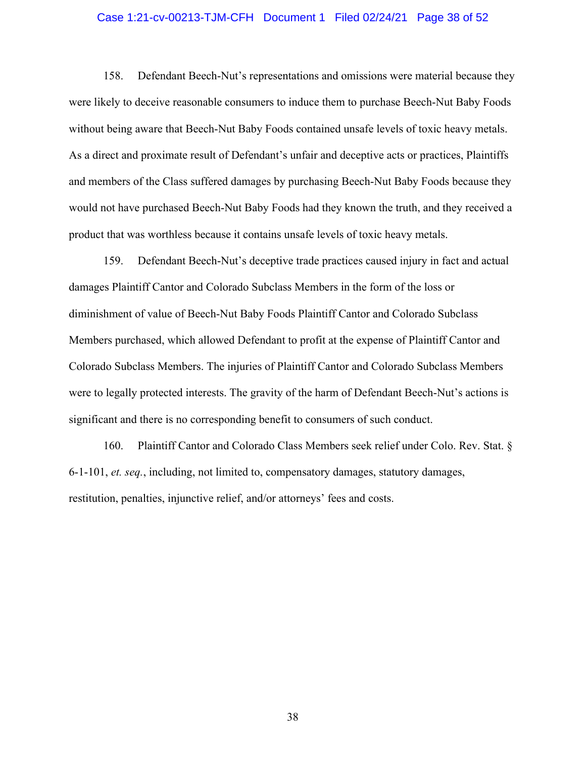#### Case 1:21-cv-00213-TJM-CFH Document 1 Filed 02/24/21 Page 38 of 52

158. Defendant Beech-Nut's representations and omissions were material because they were likely to deceive reasonable consumers to induce them to purchase Beech-Nut Baby Foods without being aware that Beech-Nut Baby Foods contained unsafe levels of toxic heavy metals. As a direct and proximate result of Defendant's unfair and deceptive acts or practices, Plaintiffs and members of the Class suffered damages by purchasing Beech-Nut Baby Foods because they would not have purchased Beech-Nut Baby Foods had they known the truth, and they received a product that was worthless because it contains unsafe levels of toxic heavy metals.

159. Defendant Beech-Nut's deceptive trade practices caused injury in fact and actual damages Plaintiff Cantor and Colorado Subclass Members in the form of the loss or diminishment of value of Beech-Nut Baby Foods Plaintiff Cantor and Colorado Subclass Members purchased, which allowed Defendant to profit at the expense of Plaintiff Cantor and Colorado Subclass Members. The injuries of Plaintiff Cantor and Colorado Subclass Members were to legally protected interests. The gravity of the harm of Defendant Beech-Nut's actions is significant and there is no corresponding benefit to consumers of such conduct.

160. Plaintiff Cantor and Colorado Class Members seek relief under Colo. Rev. Stat. § 6-1-101, *et. seq.*, including, not limited to, compensatory damages, statutory damages, restitution, penalties, injunctive relief, and/or attorneys' fees and costs.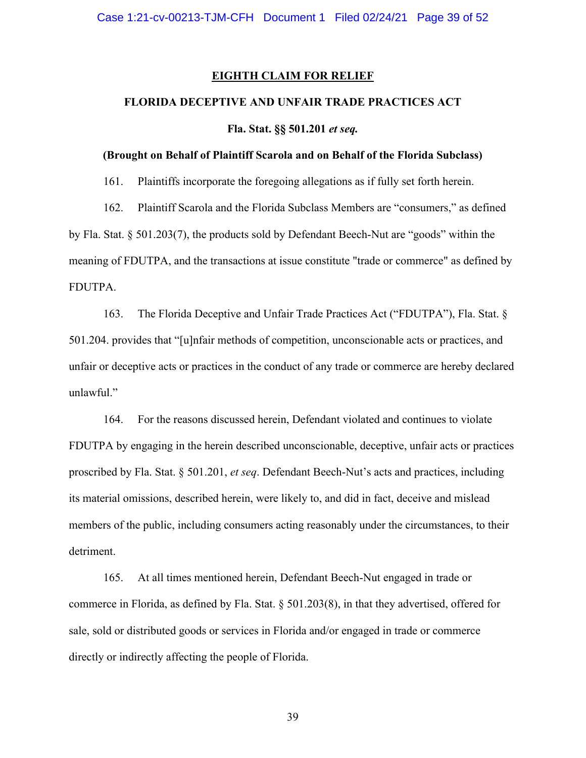#### **EIGHTH CLAIM FOR RELIEF**

#### **FLORIDA DECEPTIVE AND UNFAIR TRADE PRACTICES ACT**

**Fla. Stat. §§ 501.201** *et seq.* 

#### **(Brought on Behalf of Plaintiff Scarola and on Behalf of the Florida Subclass)**

161. Plaintiffs incorporate the foregoing allegations as if fully set forth herein.

162. Plaintiff Scarola and the Florida Subclass Members are "consumers," as defined by Fla. Stat. § 501.203(7), the products sold by Defendant Beech-Nut are "goods" within the meaning of FDUTPA, and the transactions at issue constitute "trade or commerce" as defined by FDUTPA.

163. The Florida Deceptive and Unfair Trade Practices Act ("FDUTPA"), Fla. Stat. § 501.204. provides that "[u]nfair methods of competition, unconscionable acts or practices, and unfair or deceptive acts or practices in the conduct of any trade or commerce are hereby declared unlawful."

164. For the reasons discussed herein, Defendant violated and continues to violate FDUTPA by engaging in the herein described unconscionable, deceptive, unfair acts or practices proscribed by Fla. Stat. § 501.201, *et seq*. Defendant Beech-Nut's acts and practices, including its material omissions, described herein, were likely to, and did in fact, deceive and mislead members of the public, including consumers acting reasonably under the circumstances, to their detriment.

165. At all times mentioned herein, Defendant Beech-Nut engaged in trade or commerce in Florida, as defined by Fla. Stat. § 501.203(8), in that they advertised, offered for sale, sold or distributed goods or services in Florida and/or engaged in trade or commerce directly or indirectly affecting the people of Florida.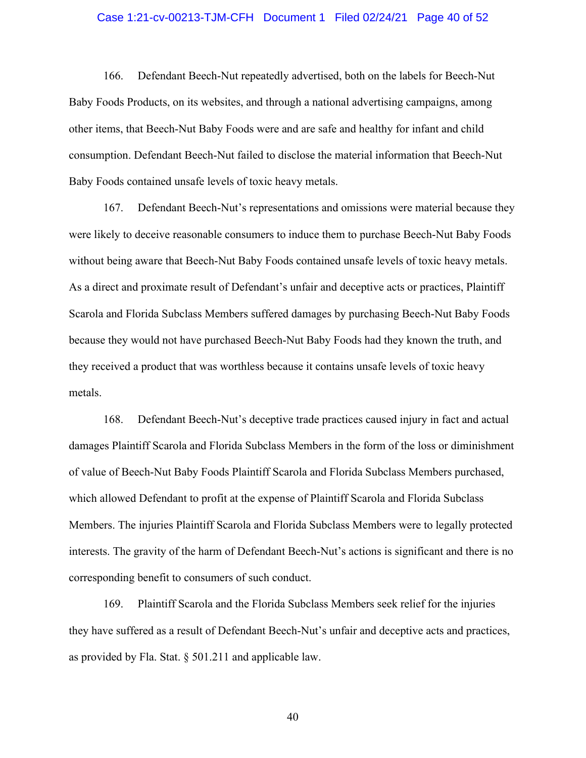#### Case 1:21-cv-00213-TJM-CFH Document 1 Filed 02/24/21 Page 40 of 52

166. Defendant Beech-Nut repeatedly advertised, both on the labels for Beech-Nut Baby Foods Products, on its websites, and through a national advertising campaigns, among other items, that Beech-Nut Baby Foods were and are safe and healthy for infant and child consumption. Defendant Beech-Nut failed to disclose the material information that Beech-Nut Baby Foods contained unsafe levels of toxic heavy metals.

167. Defendant Beech-Nut's representations and omissions were material because they were likely to deceive reasonable consumers to induce them to purchase Beech-Nut Baby Foods without being aware that Beech-Nut Baby Foods contained unsafe levels of toxic heavy metals. As a direct and proximate result of Defendant's unfair and deceptive acts or practices, Plaintiff Scarola and Florida Subclass Members suffered damages by purchasing Beech-Nut Baby Foods because they would not have purchased Beech-Nut Baby Foods had they known the truth, and they received a product that was worthless because it contains unsafe levels of toxic heavy metals.

168. Defendant Beech-Nut's deceptive trade practices caused injury in fact and actual damages Plaintiff Scarola and Florida Subclass Members in the form of the loss or diminishment of value of Beech-Nut Baby Foods Plaintiff Scarola and Florida Subclass Members purchased, which allowed Defendant to profit at the expense of Plaintiff Scarola and Florida Subclass Members. The injuries Plaintiff Scarola and Florida Subclass Members were to legally protected interests. The gravity of the harm of Defendant Beech-Nut's actions is significant and there is no corresponding benefit to consumers of such conduct.

169. Plaintiff Scarola and the Florida Subclass Members seek relief for the injuries they have suffered as a result of Defendant Beech-Nut's unfair and deceptive acts and practices, as provided by Fla. Stat.  $\S$  501.211 and applicable law.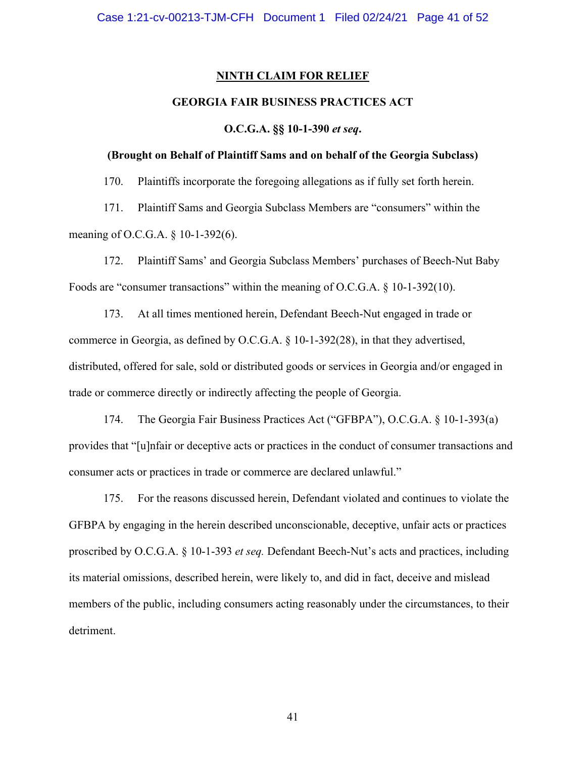#### **NINTH CLAIM FOR RELIEF**

#### **GEORGIA FAIR BUSINESS PRACTICES ACT**

**O.C.G.A. §§ 10-1-390** *et seq***.** 

#### **(Brought on Behalf of Plaintiff Sams and on behalf of the Georgia Subclass)**

170. Plaintiffs incorporate the foregoing allegations as if fully set forth herein.

171. Plaintiff Sams and Georgia Subclass Members are "consumers" within the meaning of O.C.G.A. § 10-1-392(6).

172. Plaintiff Sams' and Georgia Subclass Members' purchases of Beech-Nut Baby Foods are "consumer transactions" within the meaning of O.C.G.A. § 10-1-392(10).

173. At all times mentioned herein, Defendant Beech-Nut engaged in trade or commerce in Georgia, as defined by O.C.G.A. § 10-1-392(28), in that they advertised, distributed, offered for sale, sold or distributed goods or services in Georgia and/or engaged in trade or commerce directly or indirectly affecting the people of Georgia.

174. The Georgia Fair Business Practices Act ("GFBPA"), O.C.G.A. § 10-1-393(a) provides that "[u]nfair or deceptive acts or practices in the conduct of consumer transactions and consumer acts or practices in trade or commerce are declared unlawful."

175. For the reasons discussed herein, Defendant violated and continues to violate the GFBPA by engaging in the herein described unconscionable, deceptive, unfair acts or practices proscribed by O.C.G.A. § 10-1-393 *et seq.* Defendant Beech-Nut's acts and practices, including its material omissions, described herein, were likely to, and did in fact, deceive and mislead members of the public, including consumers acting reasonably under the circumstances, to their detriment.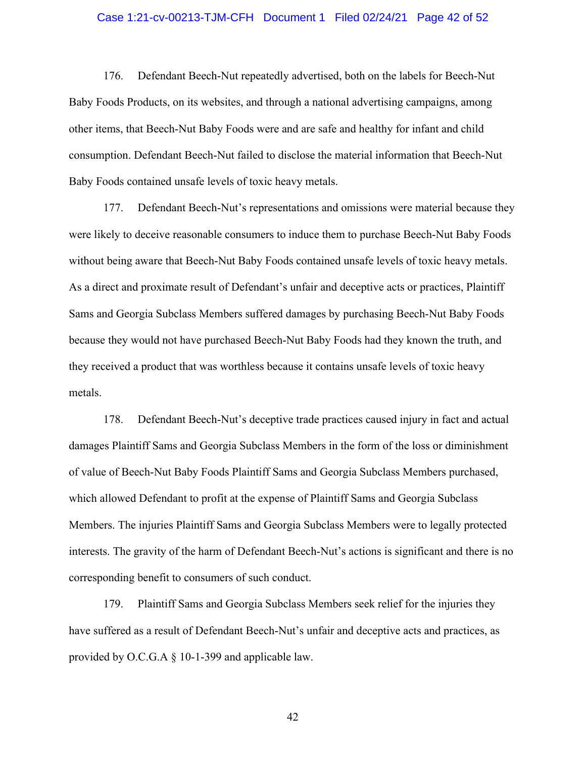#### Case 1:21-cv-00213-TJM-CFH Document 1 Filed 02/24/21 Page 42 of 52

176. Defendant Beech-Nut repeatedly advertised, both on the labels for Beech-Nut Baby Foods Products, on its websites, and through a national advertising campaigns, among other items, that Beech-Nut Baby Foods were and are safe and healthy for infant and child consumption. Defendant Beech-Nut failed to disclose the material information that Beech-Nut Baby Foods contained unsafe levels of toxic heavy metals.

177. Defendant Beech-Nut's representations and omissions were material because they were likely to deceive reasonable consumers to induce them to purchase Beech-Nut Baby Foods without being aware that Beech-Nut Baby Foods contained unsafe levels of toxic heavy metals. As a direct and proximate result of Defendant's unfair and deceptive acts or practices, Plaintiff Sams and Georgia Subclass Members suffered damages by purchasing Beech-Nut Baby Foods because they would not have purchased Beech-Nut Baby Foods had they known the truth, and they received a product that was worthless because it contains unsafe levels of toxic heavy metals.

178. Defendant Beech-Nut's deceptive trade practices caused injury in fact and actual damages Plaintiff Sams and Georgia Subclass Members in the form of the loss or diminishment of value of Beech-Nut Baby Foods Plaintiff Sams and Georgia Subclass Members purchased, which allowed Defendant to profit at the expense of Plaintiff Sams and Georgia Subclass Members. The injuries Plaintiff Sams and Georgia Subclass Members were to legally protected interests. The gravity of the harm of Defendant Beech-Nut's actions is significant and there is no corresponding benefit to consumers of such conduct.

179. Plaintiff Sams and Georgia Subclass Members seek relief for the injuries they have suffered as a result of Defendant Beech-Nut's unfair and deceptive acts and practices, as provided by O.C.G.A § 10-1-399 and applicable law.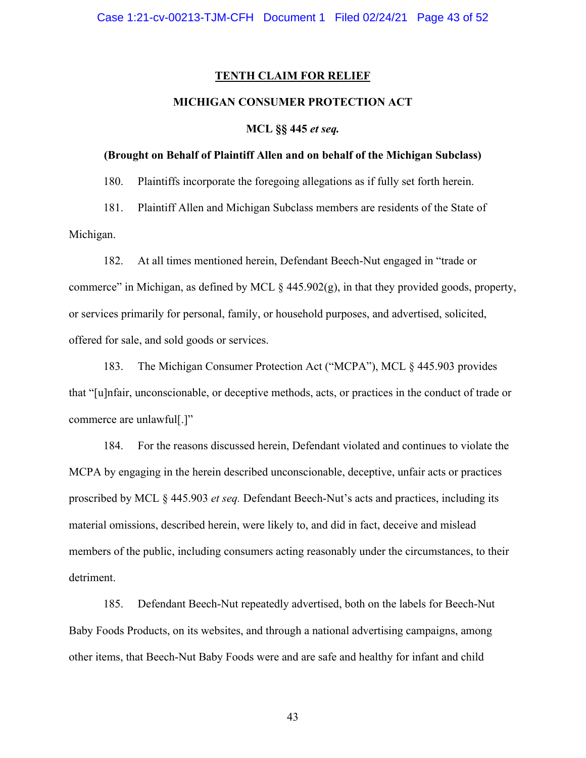#### **TENTH CLAIM FOR RELIEF**

#### **MICHIGAN CONSUMER PROTECTION ACT**

#### **MCL §§ 445** *et seq.*

#### **(Brought on Behalf of Plaintiff Allen and on behalf of the Michigan Subclass)**

180. Plaintiffs incorporate the foregoing allegations as if fully set forth herein.

181. Plaintiff Allen and Michigan Subclass members are residents of the State of Michigan.

182. At all times mentioned herein, Defendant Beech-Nut engaged in "trade or commerce" in Michigan, as defined by MCL § 445.902(g), in that they provided goods, property, or services primarily for personal, family, or household purposes, and advertised, solicited, offered for sale, and sold goods or services.

183. The Michigan Consumer Protection Act ("MCPA"), MCL § 445.903 provides that "[u]nfair, unconscionable, or deceptive methods, acts, or practices in the conduct of trade or commerce are unlawful[.]"

184. For the reasons discussed herein, Defendant violated and continues to violate the MCPA by engaging in the herein described unconscionable, deceptive, unfair acts or practices proscribed by MCL § 445.903 *et seq.* Defendant Beech-Nut's acts and practices, including its material omissions, described herein, were likely to, and did in fact, deceive and mislead members of the public, including consumers acting reasonably under the circumstances, to their detriment.

185. Defendant Beech-Nut repeatedly advertised, both on the labels for Beech-Nut Baby Foods Products, on its websites, and through a national advertising campaigns, among other items, that Beech-Nut Baby Foods were and are safe and healthy for infant and child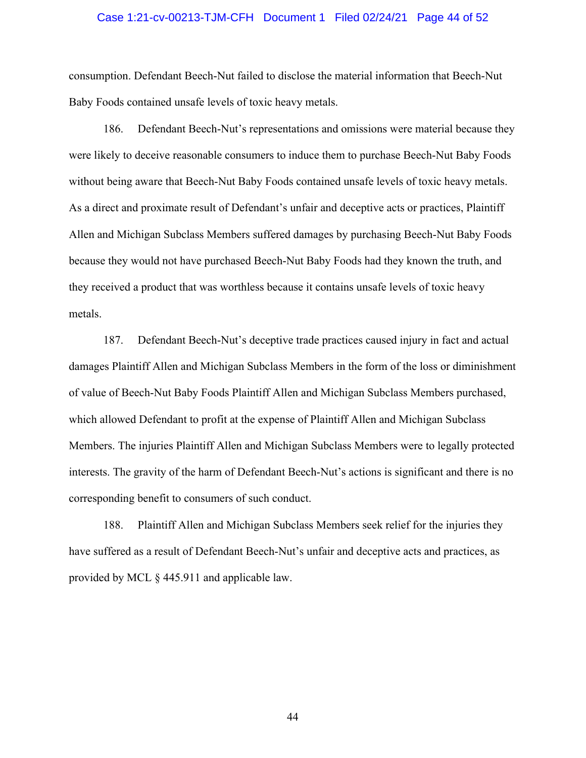#### Case 1:21-cv-00213-TJM-CFH Document 1 Filed 02/24/21 Page 44 of 52

consumption. Defendant Beech-Nut failed to disclose the material information that Beech-Nut Baby Foods contained unsafe levels of toxic heavy metals.

186. Defendant Beech-Nut's representations and omissions were material because they were likely to deceive reasonable consumers to induce them to purchase Beech-Nut Baby Foods without being aware that Beech-Nut Baby Foods contained unsafe levels of toxic heavy metals. As a direct and proximate result of Defendant's unfair and deceptive acts or practices, Plaintiff Allen and Michigan Subclass Members suffered damages by purchasing Beech-Nut Baby Foods because they would not have purchased Beech-Nut Baby Foods had they known the truth, and they received a product that was worthless because it contains unsafe levels of toxic heavy metals.

187. Defendant Beech-Nut's deceptive trade practices caused injury in fact and actual damages Plaintiff Allen and Michigan Subclass Members in the form of the loss or diminishment of value of Beech-Nut Baby Foods Plaintiff Allen and Michigan Subclass Members purchased, which allowed Defendant to profit at the expense of Plaintiff Allen and Michigan Subclass Members. The injuries Plaintiff Allen and Michigan Subclass Members were to legally protected interests. The gravity of the harm of Defendant Beech-Nut's actions is significant and there is no corresponding benefit to consumers of such conduct.

188. Plaintiff Allen and Michigan Subclass Members seek relief for the injuries they have suffered as a result of Defendant Beech-Nut's unfair and deceptive acts and practices, as provided by MCL § 445.911 and applicable law.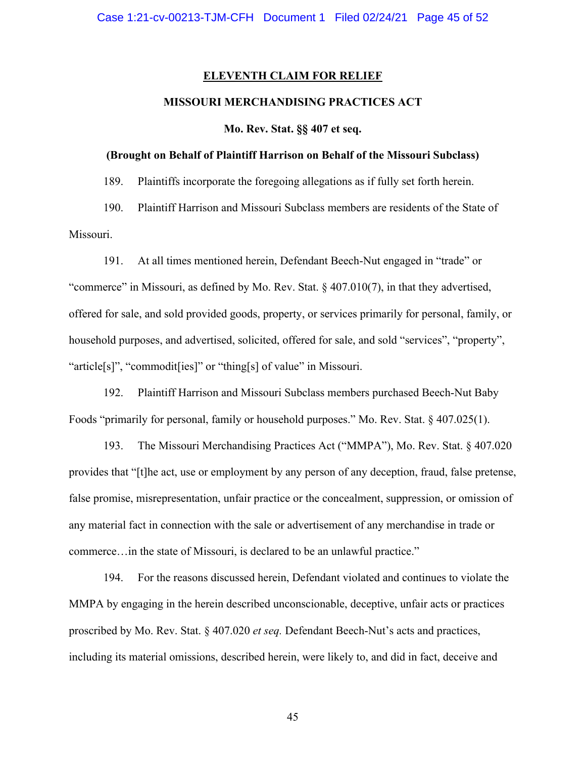#### **ELEVENTH CLAIM FOR RELIEF**

#### **MISSOURI MERCHANDISING PRACTICES ACT**

**Mo. Rev. Stat. §§ 407 et seq.** 

#### **(Brought on Behalf of Plaintiff Harrison on Behalf of the Missouri Subclass)**

189. Plaintiffs incorporate the foregoing allegations as if fully set forth herein.

190. Plaintiff Harrison and Missouri Subclass members are residents of the State of Missouri.

191. At all times mentioned herein, Defendant Beech-Nut engaged in "trade" or "commerce" in Missouri, as defined by Mo. Rev. Stat. § 407.010(7), in that they advertised, offered for sale, and sold provided goods, property, or services primarily for personal, family, or household purposes, and advertised, solicited, offered for sale, and sold "services", "property", "article[s]", "commodit[ies]" or "thing[s] of value" in Missouri.

192. Plaintiff Harrison and Missouri Subclass members purchased Beech-Nut Baby Foods "primarily for personal, family or household purposes." Mo. Rev. Stat. § 407.025(1).

193. The Missouri Merchandising Practices Act ("MMPA"), Mo. Rev. Stat. § 407.020 provides that "[t]he act, use or employment by any person of any deception, fraud, false pretense, false promise, misrepresentation, unfair practice or the concealment, suppression, or omission of any material fact in connection with the sale or advertisement of any merchandise in trade or commerce…in the state of Missouri, is declared to be an unlawful practice."

194. For the reasons discussed herein, Defendant violated and continues to violate the MMPA by engaging in the herein described unconscionable, deceptive, unfair acts or practices proscribed by Mo. Rev. Stat. § 407.020 *et seq.* Defendant Beech-Nut's acts and practices, including its material omissions, described herein, were likely to, and did in fact, deceive and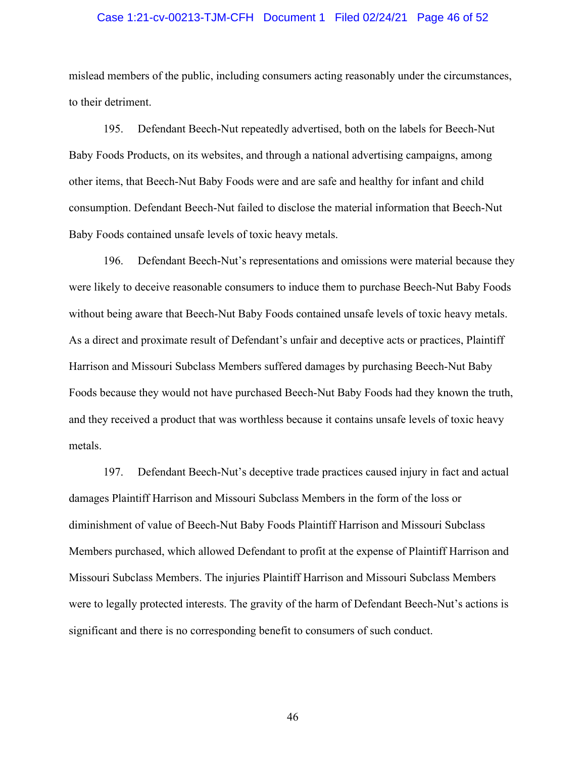#### Case 1:21-cv-00213-TJM-CFH Document 1 Filed 02/24/21 Page 46 of 52

mislead members of the public, including consumers acting reasonably under the circumstances, to their detriment.

195. Defendant Beech-Nut repeatedly advertised, both on the labels for Beech-Nut Baby Foods Products, on its websites, and through a national advertising campaigns, among other items, that Beech-Nut Baby Foods were and are safe and healthy for infant and child consumption. Defendant Beech-Nut failed to disclose the material information that Beech-Nut Baby Foods contained unsafe levels of toxic heavy metals.

196. Defendant Beech-Nut's representations and omissions were material because they were likely to deceive reasonable consumers to induce them to purchase Beech-Nut Baby Foods without being aware that Beech-Nut Baby Foods contained unsafe levels of toxic heavy metals. As a direct and proximate result of Defendant's unfair and deceptive acts or practices, Plaintiff Harrison and Missouri Subclass Members suffered damages by purchasing Beech-Nut Baby Foods because they would not have purchased Beech-Nut Baby Foods had they known the truth, and they received a product that was worthless because it contains unsafe levels of toxic heavy metals.

197. Defendant Beech-Nut's deceptive trade practices caused injury in fact and actual damages Plaintiff Harrison and Missouri Subclass Members in the form of the loss or diminishment of value of Beech-Nut Baby Foods Plaintiff Harrison and Missouri Subclass Members purchased, which allowed Defendant to profit at the expense of Plaintiff Harrison and Missouri Subclass Members. The injuries Plaintiff Harrison and Missouri Subclass Members were to legally protected interests. The gravity of the harm of Defendant Beech-Nut's actions is significant and there is no corresponding benefit to consumers of such conduct.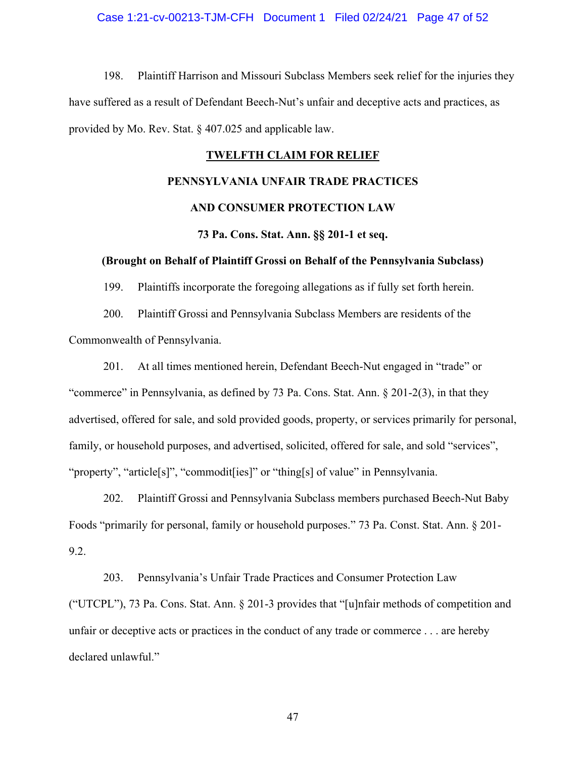#### Case 1:21-cv-00213-TJM-CFH Document 1 Filed 02/24/21 Page 47 of 52

198. Plaintiff Harrison and Missouri Subclass Members seek relief for the injuries they have suffered as a result of Defendant Beech-Nut's unfair and deceptive acts and practices, as provided by Mo. Rev. Stat. § 407.025 and applicable law.

#### **TWELFTH CLAIM FOR RELIEF**

#### **PENNSYLVANIA UNFAIR TRADE PRACTICES**

#### **AND CONSUMER PROTECTION LAW**

#### **73 Pa. Cons. Stat. Ann. §§ 201-1 et seq.**

#### **(Brought on Behalf of Plaintiff Grossi on Behalf of the Pennsylvania Subclass)**

199. Plaintiffs incorporate the foregoing allegations as if fully set forth herein.

200. Plaintiff Grossi and Pennsylvania Subclass Members are residents of the Commonwealth of Pennsylvania.

201. At all times mentioned herein, Defendant Beech-Nut engaged in "trade" or "commerce" in Pennsylvania, as defined by 73 Pa. Cons. Stat. Ann. § 201-2(3), in that they advertised, offered for sale, and sold provided goods, property, or services primarily for personal, family, or household purposes, and advertised, solicited, offered for sale, and sold "services", "property", "article[s]", "commodit[ies]" or "thing[s] of value" in Pennsylvania.

202. Plaintiff Grossi and Pennsylvania Subclass members purchased Beech-Nut Baby Foods "primarily for personal, family or household purposes." 73 Pa. Const. Stat. Ann. § 201- 9.2.

203. Pennsylvania's Unfair Trade Practices and Consumer Protection Law ("UTCPL"), 73 Pa. Cons. Stat. Ann. § 201-3 provides that "[u]nfair methods of competition and unfair or deceptive acts or practices in the conduct of any trade or commerce . . . are hereby declared unlawful."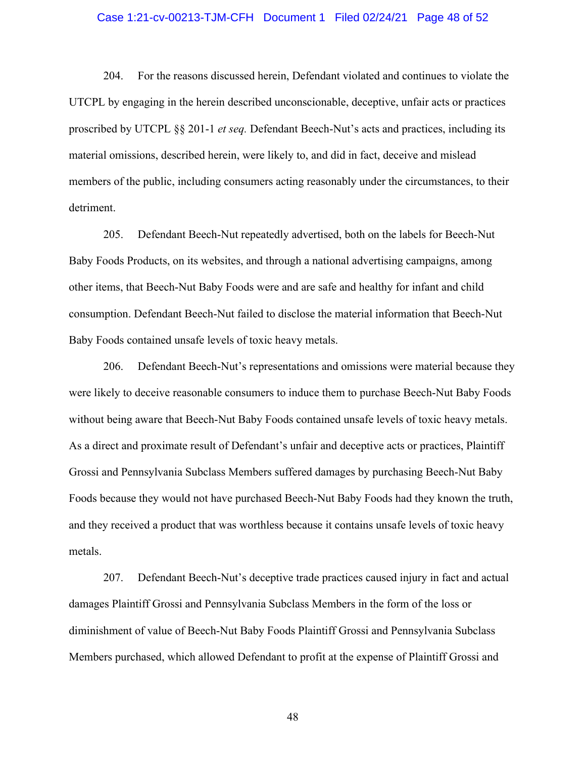#### Case 1:21-cv-00213-TJM-CFH Document 1 Filed 02/24/21 Page 48 of 52

204. For the reasons discussed herein, Defendant violated and continues to violate the UTCPL by engaging in the herein described unconscionable, deceptive, unfair acts or practices proscribed by UTCPL §§ 201-1 *et seq.* Defendant Beech-Nut's acts and practices, including its material omissions, described herein, were likely to, and did in fact, deceive and mislead members of the public, including consumers acting reasonably under the circumstances, to their detriment.

205. Defendant Beech-Nut repeatedly advertised, both on the labels for Beech-Nut Baby Foods Products, on its websites, and through a national advertising campaigns, among other items, that Beech-Nut Baby Foods were and are safe and healthy for infant and child consumption. Defendant Beech-Nut failed to disclose the material information that Beech-Nut Baby Foods contained unsafe levels of toxic heavy metals.

206. Defendant Beech-Nut's representations and omissions were material because they were likely to deceive reasonable consumers to induce them to purchase Beech-Nut Baby Foods without being aware that Beech-Nut Baby Foods contained unsafe levels of toxic heavy metals. As a direct and proximate result of Defendant's unfair and deceptive acts or practices, Plaintiff Grossi and Pennsylvania Subclass Members suffered damages by purchasing Beech-Nut Baby Foods because they would not have purchased Beech-Nut Baby Foods had they known the truth, and they received a product that was worthless because it contains unsafe levels of toxic heavy metals.

207. Defendant Beech-Nut's deceptive trade practices caused injury in fact and actual damages Plaintiff Grossi and Pennsylvania Subclass Members in the form of the loss or diminishment of value of Beech-Nut Baby Foods Plaintiff Grossi and Pennsylvania Subclass Members purchased, which allowed Defendant to profit at the expense of Plaintiff Grossi and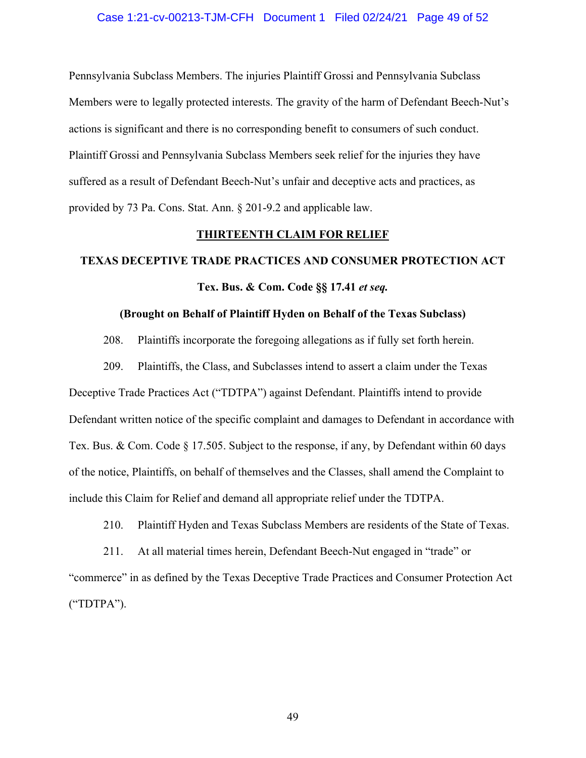#### Case 1:21-cv-00213-TJM-CFH Document 1 Filed 02/24/21 Page 49 of 52

Pennsylvania Subclass Members. The injuries Plaintiff Grossi and Pennsylvania Subclass Members were to legally protected interests. The gravity of the harm of Defendant Beech-Nut's actions is significant and there is no corresponding benefit to consumers of such conduct. Plaintiff Grossi and Pennsylvania Subclass Members seek relief for the injuries they have suffered as a result of Defendant Beech-Nut's unfair and deceptive acts and practices, as provided by 73 Pa. Cons. Stat. Ann. § 201-9.2 and applicable law.

#### **THIRTEENTH CLAIM FOR RELIEF**

## **TEXAS DECEPTIVE TRADE PRACTICES AND CONSUMER PROTECTION ACT Tex. Bus. & Com. Code §§ 17.41** *et seq.*

#### **(Brought on Behalf of Plaintiff Hyden on Behalf of the Texas Subclass)**

208. Plaintiffs incorporate the foregoing allegations as if fully set forth herein.

209. Plaintiffs, the Class, and Subclasses intend to assert a claim under the Texas Deceptive Trade Practices Act ("TDTPA") against Defendant. Plaintiffs intend to provide Defendant written notice of the specific complaint and damages to Defendant in accordance with Tex. Bus. & Com. Code § 17.505. Subject to the response, if any, by Defendant within 60 days of the notice, Plaintiffs, on behalf of themselves and the Classes, shall amend the Complaint to include this Claim for Relief and demand all appropriate relief under the TDTPA.

210. Plaintiff Hyden and Texas Subclass Members are residents of the State of Texas.

211. At all material times herein, Defendant Beech-Nut engaged in "trade" or "commerce" in as defined by the Texas Deceptive Trade Practices and Consumer Protection Act ("TDTPA").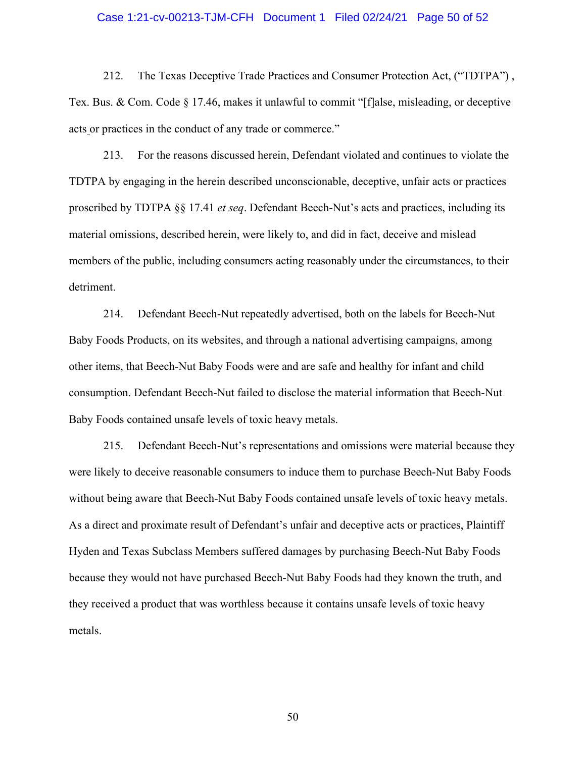#### Case 1:21-cv-00213-TJM-CFH Document 1 Filed 02/24/21 Page 50 of 52

212. The Texas Deceptive Trade Practices and Consumer Protection Act, ("TDTPA") , Tex. Bus. & Com. Code § 17.46, makes it unlawful to commit "[f]alse, misleading, or deceptive acts or practices in the conduct of any trade or commerce."

213. For the reasons discussed herein, Defendant violated and continues to violate the TDTPA by engaging in the herein described unconscionable, deceptive, unfair acts or practices proscribed by TDTPA §§ 17.41 *et seq*. Defendant Beech-Nut's acts and practices, including its material omissions, described herein, were likely to, and did in fact, deceive and mislead members of the public, including consumers acting reasonably under the circumstances, to their detriment.

214. Defendant Beech-Nut repeatedly advertised, both on the labels for Beech-Nut Baby Foods Products, on its websites, and through a national advertising campaigns, among other items, that Beech-Nut Baby Foods were and are safe and healthy for infant and child consumption. Defendant Beech-Nut failed to disclose the material information that Beech-Nut Baby Foods contained unsafe levels of toxic heavy metals.

215. Defendant Beech-Nut's representations and omissions were material because they were likely to deceive reasonable consumers to induce them to purchase Beech-Nut Baby Foods without being aware that Beech-Nut Baby Foods contained unsafe levels of toxic heavy metals. As a direct and proximate result of Defendant's unfair and deceptive acts or practices, Plaintiff Hyden and Texas Subclass Members suffered damages by purchasing Beech-Nut Baby Foods because they would not have purchased Beech-Nut Baby Foods had they known the truth, and they received a product that was worthless because it contains unsafe levels of toxic heavy metals.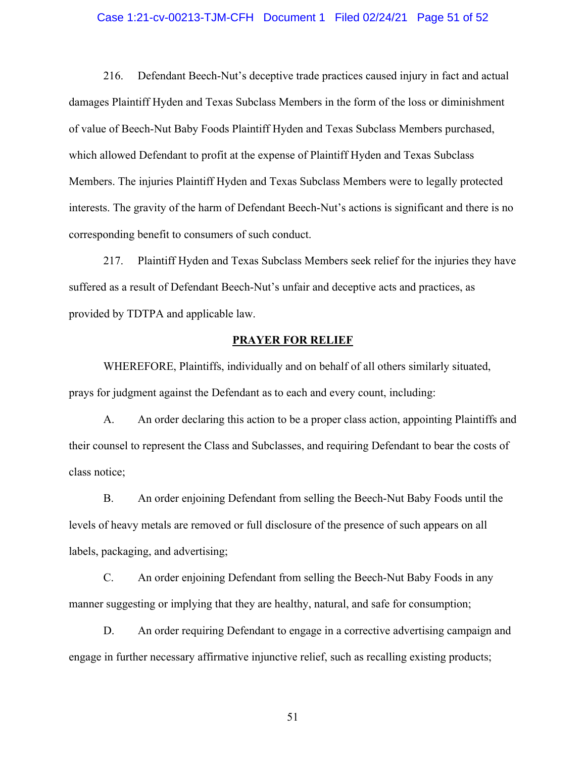#### Case 1:21-cv-00213-TJM-CFH Document 1 Filed 02/24/21 Page 51 of 52

216. Defendant Beech-Nut's deceptive trade practices caused injury in fact and actual damages Plaintiff Hyden and Texas Subclass Members in the form of the loss or diminishment of value of Beech-Nut Baby Foods Plaintiff Hyden and Texas Subclass Members purchased, which allowed Defendant to profit at the expense of Plaintiff Hyden and Texas Subclass Members. The injuries Plaintiff Hyden and Texas Subclass Members were to legally protected interests. The gravity of the harm of Defendant Beech-Nut's actions is significant and there is no corresponding benefit to consumers of such conduct.

217. Plaintiff Hyden and Texas Subclass Members seek relief for the injuries they have suffered as a result of Defendant Beech-Nut's unfair and deceptive acts and practices, as provided by TDTPA and applicable law.

#### **PRAYER FOR RELIEF**

WHEREFORE, Plaintiffs, individually and on behalf of all others similarly situated, prays for judgment against the Defendant as to each and every count, including:

A. An order declaring this action to be a proper class action, appointing Plaintiffs and their counsel to represent the Class and Subclasses, and requiring Defendant to bear the costs of class notice;

B. An order enjoining Defendant from selling the Beech-Nut Baby Foods until the levels of heavy metals are removed or full disclosure of the presence of such appears on all labels, packaging, and advertising;

C. An order enjoining Defendant from selling the Beech-Nut Baby Foods in any manner suggesting or implying that they are healthy, natural, and safe for consumption;

D. An order requiring Defendant to engage in a corrective advertising campaign and engage in further necessary affirmative injunctive relief, such as recalling existing products;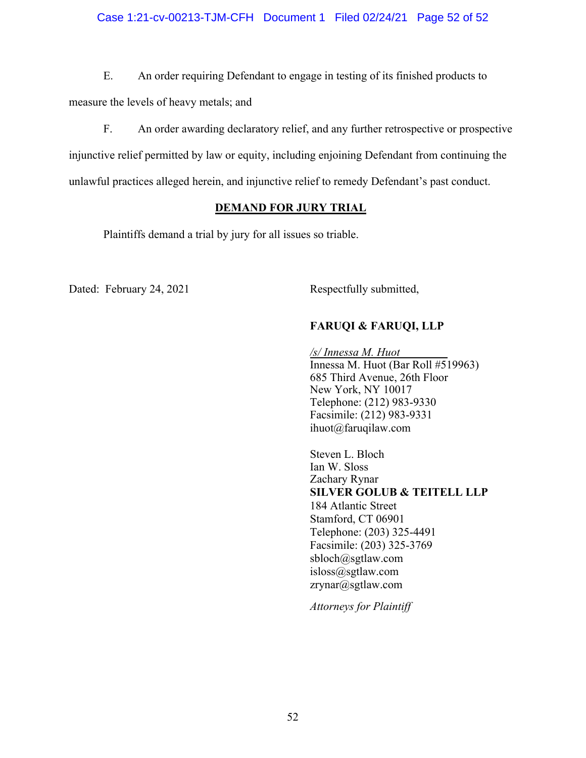#### Case 1:21-cv-00213-TJM-CFH Document 1 Filed 02/24/21 Page 52 of 52

E. An order requiring Defendant to engage in testing of its finished products to measure the levels of heavy metals; and

F. An order awarding declaratory relief, and any further retrospective or prospective injunctive relief permitted by law or equity, including enjoining Defendant from continuing the unlawful practices alleged herein, and injunctive relief to remedy Defendant's past conduct.

#### **DEMAND FOR JURY TRIAL**

Plaintiffs demand a trial by jury for all issues so triable.

Dated: February 24, 2021 Respectfully submitted,

#### **FARUQI & FARUQI, LLP**

*/s/ Innessa M. Huot*  Innessa M. Huot (Bar Roll #519963) 685 Third Avenue, 26th Floor New York, NY 10017 Telephone: (212) 983-9330 Facsimile: (212) 983-9331 ihuot@faruqilaw.com

Steven L. Bloch Ian W. Sloss Zachary Rynar **SILVER GOLUB & TEITELL LLP**  184 Atlantic Street Stamford, CT 06901 Telephone: (203) 325-4491 Facsimile: (203) 325-3769 sbloch@sgtlaw.com isloss@sgtlaw.com zrynar@sgtlaw.com

*Attorneys for Plaintiff*